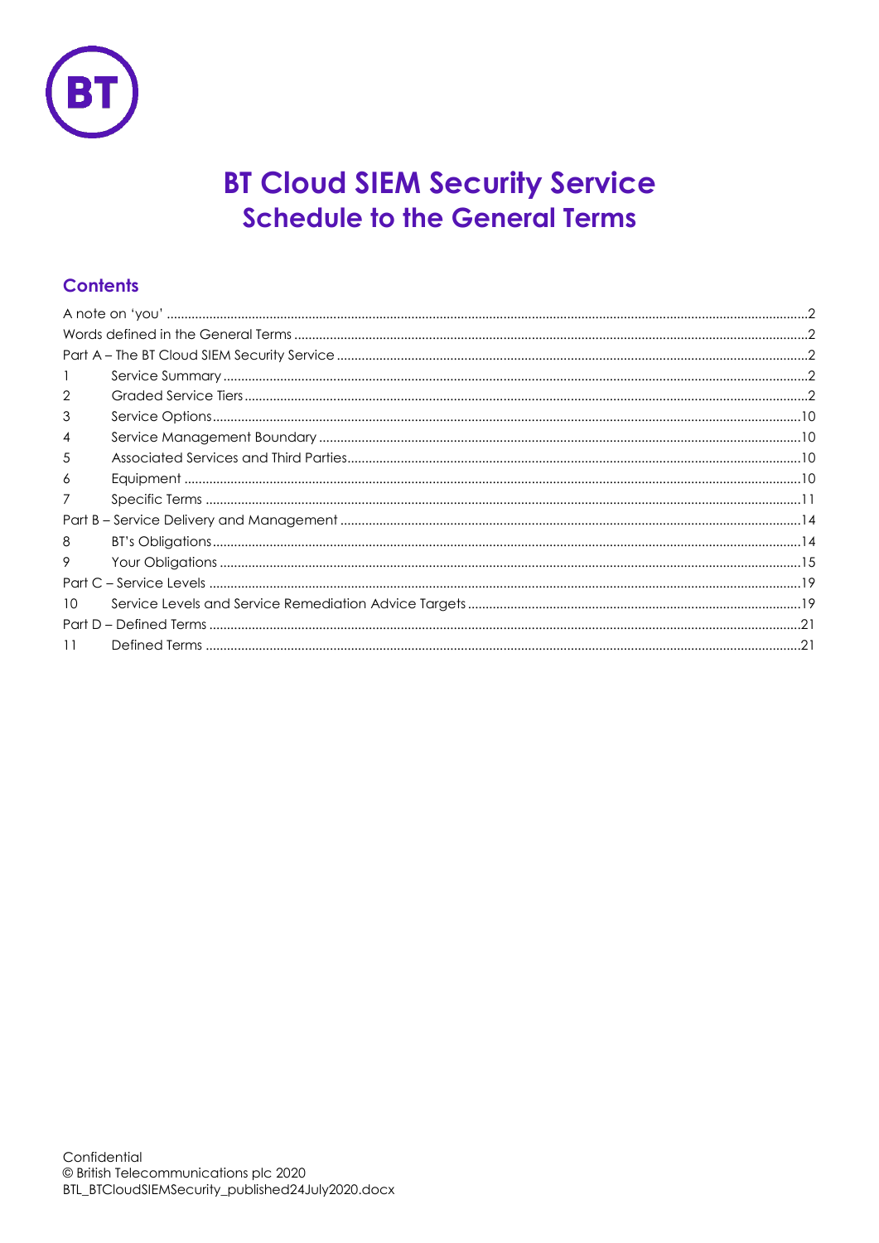

# **BT Cloud SIEM Security Service Schedule to the General Terms**

## **Contents**

| $\overline{2}$ |  |
|----------------|--|
| 3              |  |
| 4              |  |
| 5              |  |
| 6              |  |
| 7              |  |
|                |  |
| 8              |  |
| 9              |  |
|                |  |
| 10             |  |
|                |  |
| 11             |  |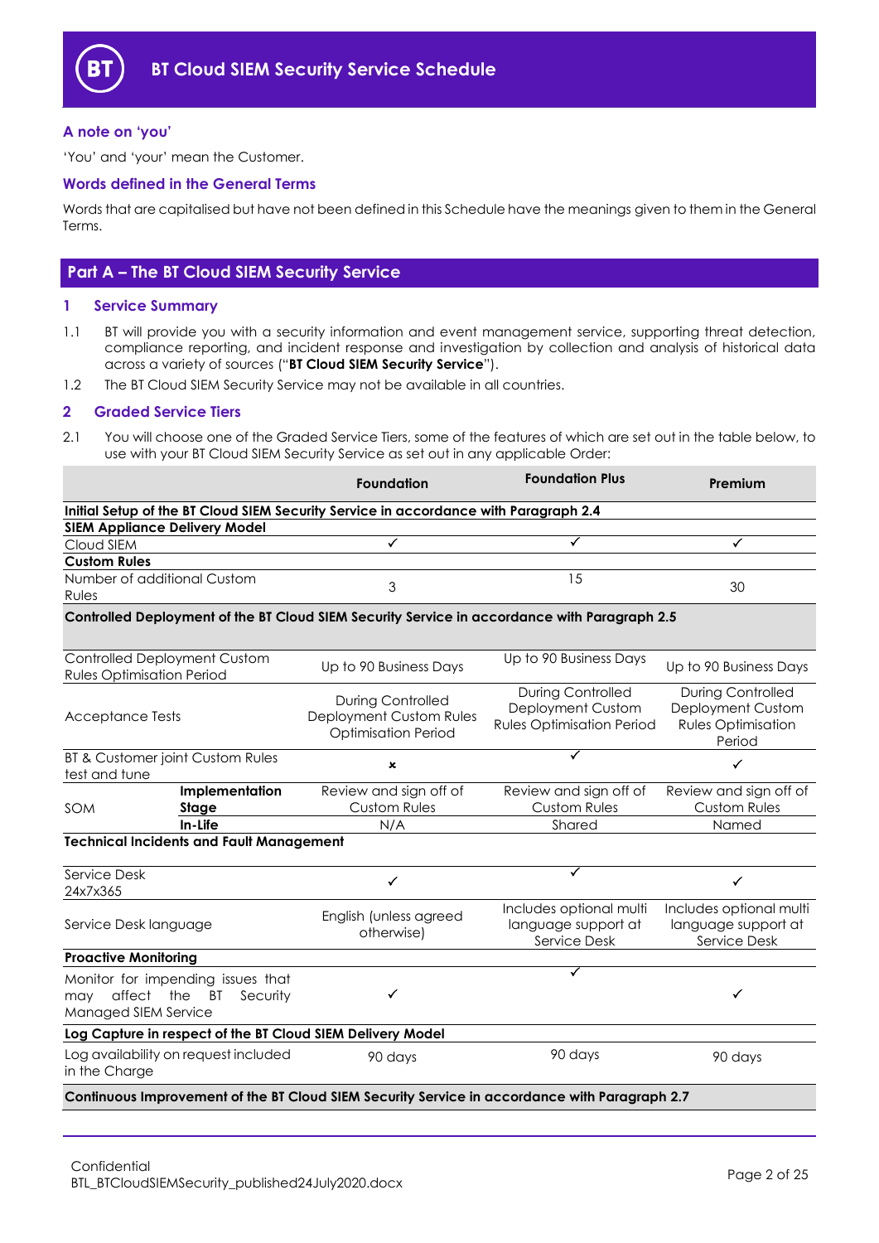

## <span id="page-1-0"></span>**A note on 'you'**

'You' and 'your' mean the Customer.

## <span id="page-1-1"></span>**Words defined in the General Terms**

Words that are capitalised but have not been defined in this Schedule have the meanings given to them in the General Terms.

## <span id="page-1-2"></span>**Part A – The BT Cloud SIEM Security Service**

#### <span id="page-1-3"></span>**1 Service Summary**

- 1.1 BT will provide you with a security information and event management service, supporting threat detection, compliance reporting, and incident response and investigation by collection and analysis of historical data across a variety of sources ("**BT Cloud SIEM Security Service**").
- 1.2 The BT Cloud SIEM Security Service may not be available in all countries.

#### <span id="page-1-4"></span>**2 Graded Service Tiers**

2.1 You will choose one of the Graded Service Tiers, some of the features of which are set out in the table below, to use with your BT Cloud SIEM Security Service as set out in any applicable Order:

|                                                                                                  | <b>Foundation</b>                                                                             | <b>Foundation Plus</b>                                                            | Premium                                                                              |  |  |  |
|--------------------------------------------------------------------------------------------------|-----------------------------------------------------------------------------------------------|-----------------------------------------------------------------------------------|--------------------------------------------------------------------------------------|--|--|--|
|                                                                                                  | Initial Setup of the BT Cloud SIEM Security Service in accordance with Paragraph 2.4          |                                                                                   |                                                                                      |  |  |  |
| <b>SIEM Appliance Delivery Model</b>                                                             |                                                                                               |                                                                                   |                                                                                      |  |  |  |
| Cloud SIEM                                                                                       | $\blacktriangledown$                                                                          | ✓                                                                                 | ✓                                                                                    |  |  |  |
| <b>Custom Rules</b>                                                                              |                                                                                               |                                                                                   |                                                                                      |  |  |  |
| Number of additional Custom<br>Rules                                                             | 3                                                                                             | 15                                                                                | 30                                                                                   |  |  |  |
|                                                                                                  | Controlled Deployment of the BT Cloud SIEM Security Service in accordance with Paragraph 2.5  |                                                                                   |                                                                                      |  |  |  |
| <b>Controlled Deployment Custom</b><br><b>Rules Optimisation Period</b>                          | Up to 90 Business Days                                                                        | Up to 90 Business Days                                                            | Up to 90 Business Days                                                               |  |  |  |
| <b>Acceptance Tests</b>                                                                          | <b>During Controlled</b><br>Deployment Custom Rules<br><b>Optimisation Period</b>             | <b>During Controlled</b><br>Deployment Custom<br><b>Rules Optimisation Period</b> | <b>During Controlled</b><br>Deployment Custom<br><b>Rules Optimisation</b><br>Period |  |  |  |
| BT & Customer joint Custom Rules<br>test and tune                                                | $\mathbf x$                                                                                   | ✓                                                                                 | ✓                                                                                    |  |  |  |
| Implementation<br>Stage<br><b>SOM</b>                                                            | Review and sign off of<br><b>Custom Rules</b>                                                 | Review and sign off of<br><b>Custom Rules</b>                                     | Review and sign off of<br><b>Custom Rules</b>                                        |  |  |  |
| In-Life                                                                                          | N/A                                                                                           | Shared                                                                            | Named                                                                                |  |  |  |
| <b>Technical Incidents and Fault Management</b>                                                  |                                                                                               |                                                                                   |                                                                                      |  |  |  |
| Service Desk<br>24x7x365                                                                         | $\checkmark$                                                                                  | ✓                                                                                 | ✓                                                                                    |  |  |  |
| Service Desk language                                                                            | English (unless agreed<br>otherwise)                                                          | Includes optional multi<br>language support at<br>Service Desk                    | Includes optional multi<br>language support at<br>Service Desk                       |  |  |  |
| <b>Proactive Monitoring</b>                                                                      |                                                                                               |                                                                                   |                                                                                      |  |  |  |
| Monitor for impending issues that<br>affect the<br>BT<br>Security<br>may<br>Managed SIEM Service | ✓                                                                                             | ✓                                                                                 | ✓                                                                                    |  |  |  |
|                                                                                                  | Log Capture in respect of the BT Cloud SIEM Delivery Model                                    |                                                                                   |                                                                                      |  |  |  |
| Log availability on request included<br>in the Charge                                            | 90 days                                                                                       | 90 days                                                                           | 90 days                                                                              |  |  |  |
|                                                                                                  | Continuous Improvement of the BT Cloud SIEM Security Service in accordance with Paragraph 2.7 |                                                                                   |                                                                                      |  |  |  |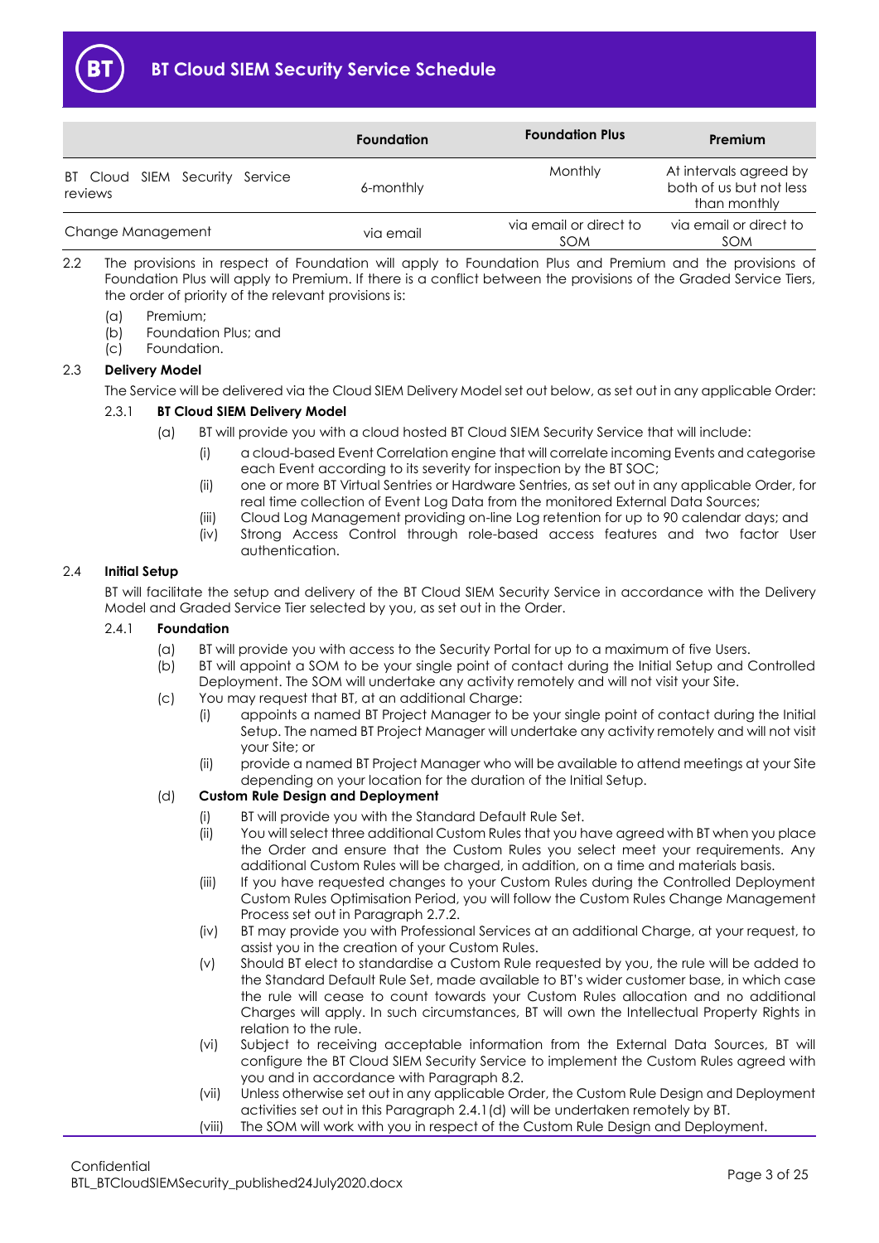

|                                           | <b>Foundation</b> | <b>Foundation Plus</b>               | Premium                                                           |
|-------------------------------------------|-------------------|--------------------------------------|-------------------------------------------------------------------|
| BT Cloud SIEM Security Service<br>reviews | 6-monthly         | Monthly                              | At intervals agreed by<br>both of us but not less<br>than monthly |
| Change Management                         | via email         | via email or direct to<br><b>SOM</b> | via email or direct to<br>SOM                                     |

- 2.2 The provisions in respect of Foundation will apply to Foundation Plus and Premium and the provisions of Foundation Plus will apply to Premium. If there is a conflict between the provisions of the Graded Service Tiers, the order of priority of the relevant provisions is:
	- (a) Premium;
	- (b) Foundation Plus; and
	- (c) Foundation.

## <span id="page-2-3"></span>2.3 **Delivery Model**

The Service will be delivered via the Cloud SIEM Delivery Model set out below, as set out in any applicable Order:

## 2.3.1 **BT Cloud SIEM Delivery Model**

- (a) BT will provide you with a cloud hosted BT Cloud SIEM Security Service that will include:
	- (i) a cloud-based Event Correlation engine that will correlate incoming Events and categorise each Event according to its severity for inspection by the BT SOC;
	- (ii) one or more BT Virtual Sentries or Hardware Sentries, as set out in any applicable Order, for real time collection of Event Log Data from the monitored External Data Sources;
	- (iii) Cloud Log Management providing on-line Log retention for up to 90 calendar days; and
	- (iv) Strong Access Control through role-based access features and two factor User authentication.

## <span id="page-2-0"></span>2.4 **Initial Setup**

BT will facilitate the setup and delivery of the BT Cloud SIEM Security Service in accordance with the Delivery Model and Graded Service Tier selected by you, as set out in the Order.

## <span id="page-2-4"></span><span id="page-2-2"></span>2.4.1 **Foundation**

- (a) BT will provide you with access to the Security Portal for up to a maximum of five Users.
- (b) BT will appoint a SOM to be your single point of contact during the Initial Setup and Controlled Deployment. The SOM will undertake any activity remotely and will not visit your Site.
- (c) You may request that BT, at an additional Charge:
	- (i) appoints a named BT Project Manager to be your single point of contact during the Initial Setup. The named BT Project Manager will undertake any activity remotely and will not visit your Site; or
	- (ii) provide a named BT Project Manager who will be available to attend meetings at your Site depending on your location for the duration of the Initial Setup.

## <span id="page-2-5"></span><span id="page-2-1"></span>(d) **Custom Rule Design and Deployment**

- (i) BT will provide you with the Standard Default Rule Set.
- (ii) You will select three additional Custom Rules that you have agreed with BT when you place the Order and ensure that the Custom Rules you select meet your requirements. Any additional Custom Rules will be charged, in addition, on a time and materials basis.
- (iii) If you have requested changes to your Custom Rules during the Controlled Deployment Custom Rules Optimisation Period, you will follow the Custom Rules Change Management Process set out in Paragraph [2.7.2.](#page-8-0)
- (iv) BT may provide you with Professional Services at an additional Charge, at your request, to assist you in the creation of your Custom Rules.
- (v) Should BT elect to standardise a Custom Rule requested by you, the rule will be added to the Standard Default Rule Set, made available to BT's wider customer base, in which case the rule will cease to count towards your Custom Rules allocation and no additional Charges will apply. In such circumstances, BT will own the Intellectual Property Rights in relation to the rule.
- (vi) Subject to receiving acceptable information from the External Data Sources, BT will configure the BT Cloud SIEM Security Service to implement the Custom Rules agreed with you and in accordance with Paragraph [8.2.](#page-13-2)
- (vii) Unless otherwise set out in any applicable Order, the Custom Rule Design and Deployment activities set out in this Paragrap[h 2.4.1\(d\)](#page-2-1) will be undertaken remotely by BT.
- (viii) The SOM will work with you in respect of the Custom Rule Design and Deployment.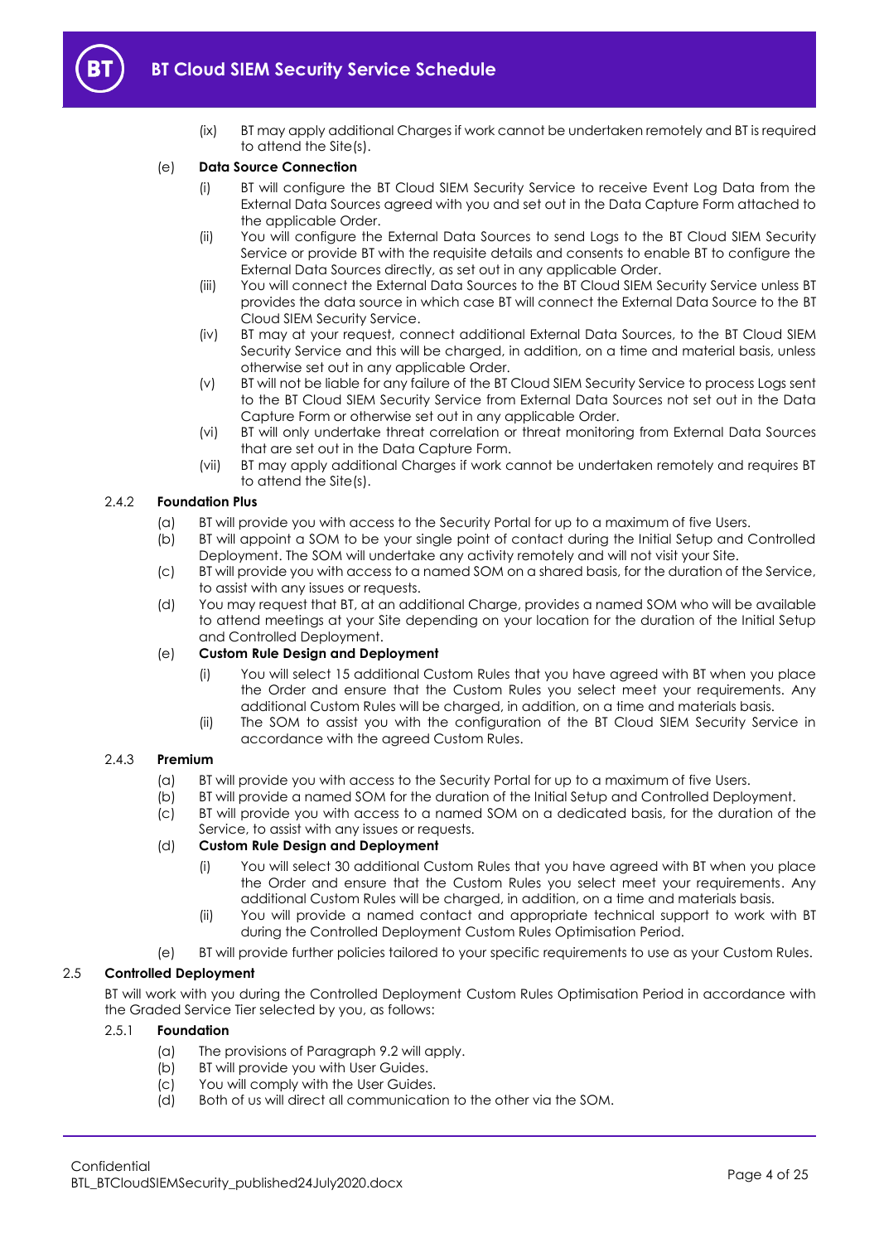

- 
- (ix) BT may apply additional Charges if work cannot be undertaken remotely and BT is required to attend the Site(s).

## <span id="page-3-4"></span>(e) **Data Source Connection**

- (i) BT will configure the BT Cloud SIEM Security Service to receive Event Log Data from the External Data Sources agreed with you and set out in the Data Capture Form attached to the applicable Order.
- (ii) You will configure the External Data Sources to send Logs to the BT Cloud SIEM Security Service or provide BT with the requisite details and consents to enable BT to configure the External Data Sources directly, as set out in any applicable Order.
- (iii) You will connect the External Data Sources to the BT Cloud SIEM Security Service unless BT provides the data source in which case BT will connect the External Data Source to the BT Cloud SIEM Security Service.
- (iv) BT may at your request, connect additional External Data Sources, to the BT Cloud SIEM Security Service and this will be charged, in addition, on a time and material basis, unless otherwise set out in any applicable Order.
- (v) BT will not be liable for any failure of the BT Cloud SIEM Security Service to process Logs sent to the BT Cloud SIEM Security Service from External Data Sources not set out in the Data Capture Form or otherwise set out in any applicable Order.
- (vi) BT will only undertake threat correlation or threat monitoring from External Data Sources that are set out in the Data Capture Form.
- (vii) BT may apply additional Charges if work cannot be undertaken remotely and requires BT to attend the Site(s).

## <span id="page-3-1"></span>2.4.2 **Foundation Plus**

- (a) BT will provide you with access to the Security Portal for up to a maximum of five Users.
- (b) BT will appoint a SOM to be your single point of contact during the Initial Setup and Controlled Deployment. The SOM will undertake any activity remotely and will not visit your Site.
- (c) BT will provide you with access to a named SOM on a shared basis, for the duration of the Service, to assist with any issues or requests.
- (d) You may request that BT, at an additional Charge, provides a named SOM who will be available to attend meetings at your Site depending on your location for the duration of the Initial Setup and Controlled Deployment.

## (e) **Custom Rule Design and Deployment**

- (i) You will select 15 additional Custom Rules that you have agreed with BT when you place the Order and ensure that the Custom Rules you select meet your requirements. Any additional Custom Rules will be charged, in addition, on a time and materials basis.
- (ii) The SOM to assist you with the configuration of the BT Cloud SIEM Security Service in accordance with the agreed Custom Rules.

## <span id="page-3-2"></span>2.4.3 **Premium**

- (a) BT will provide you with access to the Security Portal for up to a maximum of five Users.
- (b) BT will provide a named SOM for the duration of the Initial Setup and Controlled Deployment.
- (c) BT will provide you with access to a named SOM on a dedicated basis, for the duration of the
	- Service, to assist with any issues or requests.

## <span id="page-3-3"></span>(d) **Custom Rule Design and Deployment**

- (i) You will select 30 additional Custom Rules that you have agreed with BT when you place the Order and ensure that the Custom Rules you select meet your requirements. Any additional Custom Rules will be charged, in addition, on a time and materials basis.
- (ii) You will provide a named contact and appropriate technical support to work with BT during the Controlled Deployment Custom Rules Optimisation Period.
- (e) BT will provide further policies tailored to your specific requirements to use as your Custom Rules.

## <span id="page-3-0"></span>2.5 **Controlled Deployment**

BT will work with you during the Controlled Deployment Custom Rules Optimisation Period in accordance with the Graded Service Tier selected by you, as follows:

## 2.5.1 **Foundation**

- (a) The provisions of Paragraph [9.2](#page-15-0) will apply.
- (b) BT will provide you with User Guides.
- (c) You will comply with the User Guides.
- (d) Both of us will direct all communication to the other via the SOM.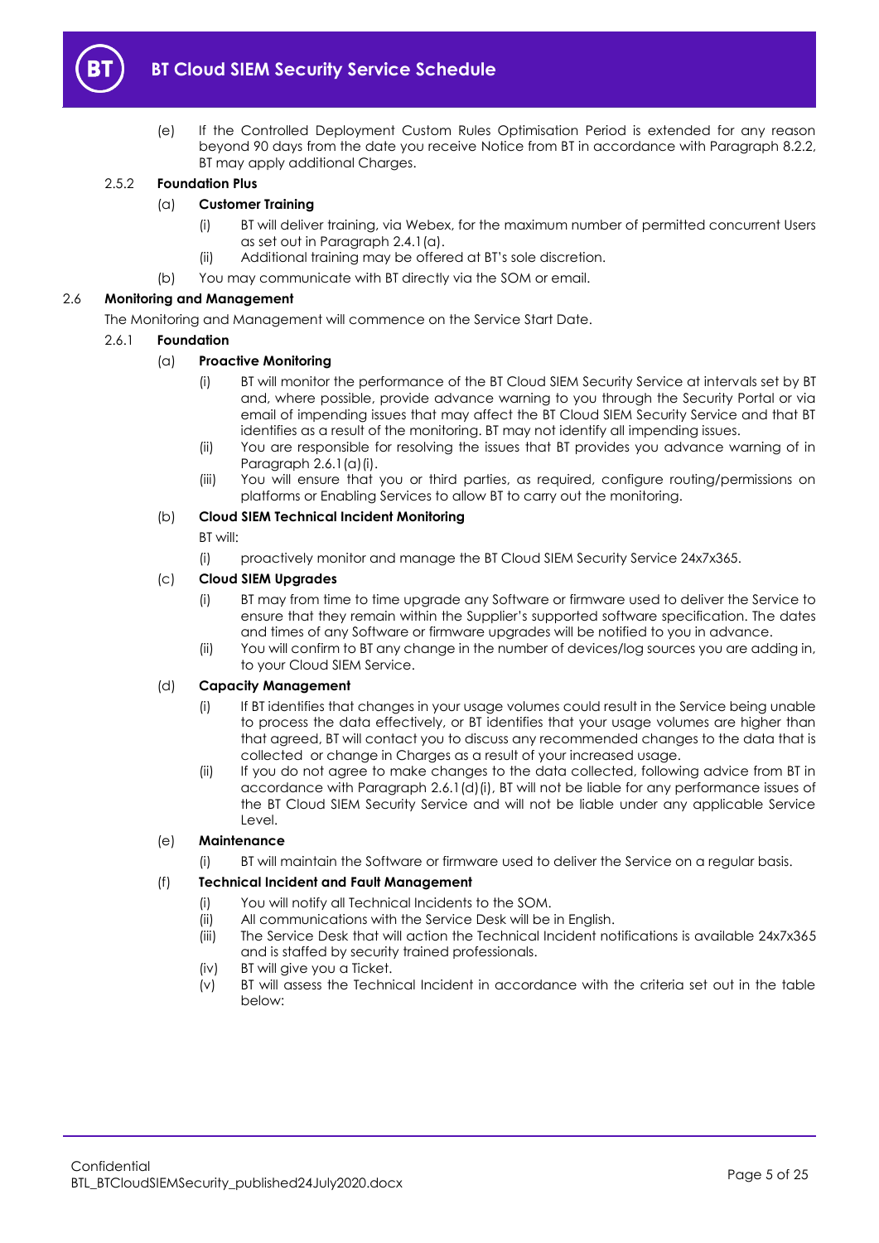

(e) If the Controlled Deployment Custom Rules Optimisation Period is extended for any reason beyond 90 days from the date you receive Notice from BT in accordance with Paragraph [8.2.2,](#page-13-3)  BT may apply additional Charges.

## <span id="page-4-3"></span>2.5.2 **Foundation Plus**

## (a) **Customer Training**

- (i) BT will deliver training, via Webex, for the maximum number of permitted concurrent Users as set out in Paragraph [2.4.1\(a\).](#page-2-2)
- (ii) Additional training may be offered at BT's sole discretion.
- (b) You may communicate with BT directly via the SOM or email.

## <span id="page-4-4"></span>2.6 **Monitoring and Management**

The Monitoring and Management will commence on the Service Start Date.

## <span id="page-4-0"></span>2.6.1 **Foundation**

## (a) **Proactive Monitoring**

- (i) BT will monitor the performance of the BT Cloud SIEM Security Service at intervals set by BT and, where possible, provide advance warning to you through the Security Portal or via email of impending issues that may affect the BT Cloud SIEM Security Service and that BT identifies as a result of the monitoring. BT may not identify all impending issues.
- (ii) You are responsible for resolving the issues that BT provides you advance warning of in Paragraph [2.6.1\(a\)\(i\).](#page-4-0)
- (iii) You will ensure that you or third parties, as required, configure routing/permissions on platforms or Enabling Services to allow BT to carry out the monitoring.

## (b) **Cloud SIEM Technical Incident Monitoring**

BT will:

(i) proactively monitor and manage the BT Cloud SIEM Security Service 24x7x365.

## (c) **Cloud SIEM Upgrades**

- (i) BT may from time to time upgrade any Software or firmware used to deliver the Service to ensure that they remain within the Supplier's supported software specification. The dates and times of any Software or firmware upgrades will be notified to you in advance.
- (ii) You will confirm to BT any change in the number of devices/log sources you are adding in, to your Cloud SIEM Service.

## <span id="page-4-1"></span>(d) **Capacity Management**

- (i) If BT identifies that changes in your usage volumes could result in the Service being unable to process the data effectively, or BT identifies that your usage volumes are higher than that agreed, BT will contact you to discuss any recommended changes to the data that is collected or change in Charges as a result of your increased usage.
- (ii) If you do not agree to make changes to the data collected, following advice from BT in accordance with Paragraph [2.6.1\(d\)\(i\),](#page-4-1) BT will not be liable for any performance issues of the BT Cloud SIEM Security Service and will not be liable under any applicable Service Level.

## (e) **Maintenance**

(i) BT will maintain the Software or firmware used to deliver the Service on a regular basis.

## <span id="page-4-2"></span>(f) **Technical Incident and Fault Management**

- (i) You will notify all Technical Incidents to the SOM.
- (ii) All communications with the Service Desk will be in English.
- (iii) The Service Desk that will action the Technical Incident notifications is available 24x7x365 and is staffed by security trained professionals.
- (iv) BT will give you a Ticket.
- (v) BT will assess the Technical Incident in accordance with the criteria set out in the table below: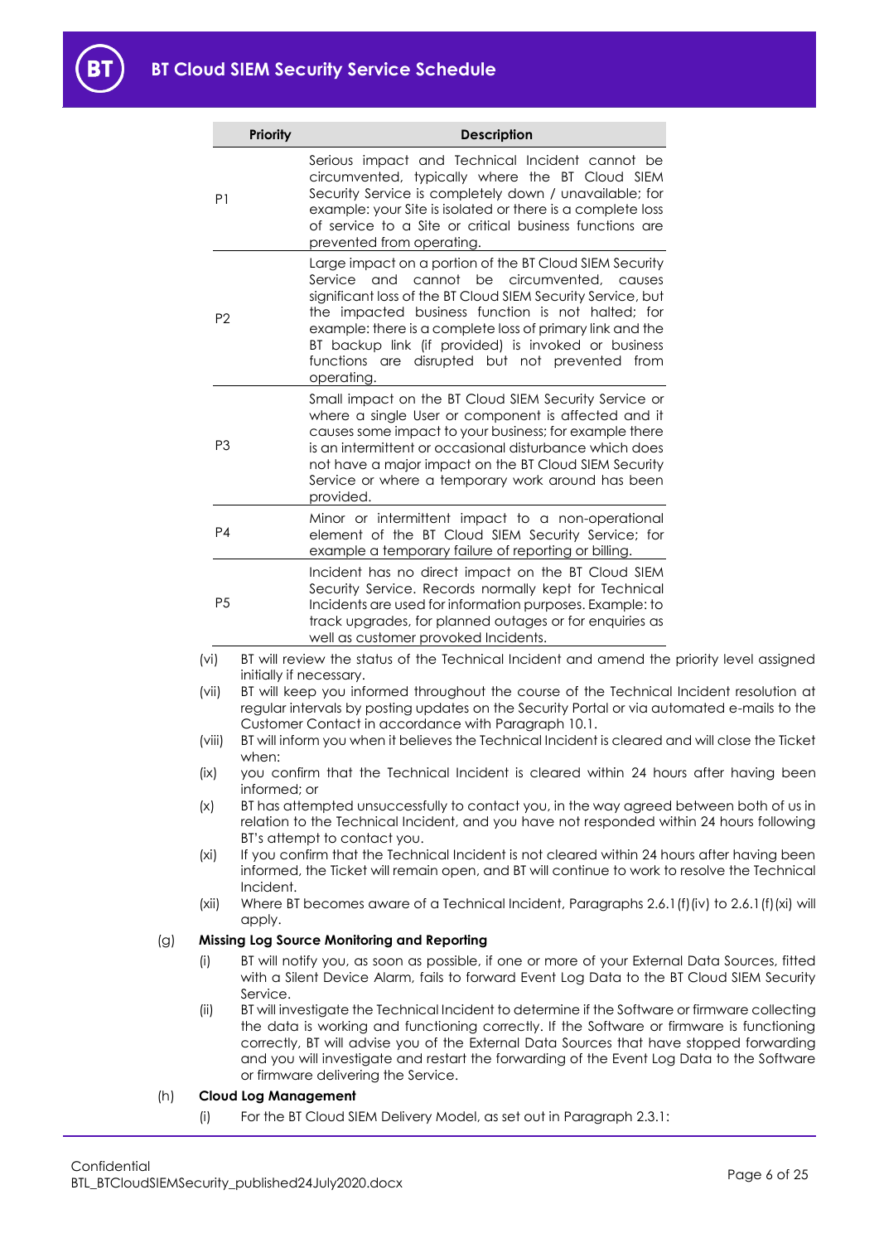B1

|     |                   | <b>Priority</b>             | Description                                                                                                                                                                                                                                                                                                                                                                                                                |
|-----|-------------------|-----------------------------|----------------------------------------------------------------------------------------------------------------------------------------------------------------------------------------------------------------------------------------------------------------------------------------------------------------------------------------------------------------------------------------------------------------------------|
|     | P <sub>1</sub>    |                             | Serious impact and Technical Incident cannot be<br>circumvented, typically where the BT Cloud SIEM<br>Security Service is completely down / unavailable; for<br>example: your Site is isolated or there is a complete loss<br>of service to a Site or critical business functions are<br>prevented from operating.                                                                                                         |
|     | P <sub>2</sub>    |                             | Large impact on a portion of the BT Cloud SIEM Security<br>Service and cannot be circumvented, causes<br>significant loss of the BT Cloud SIEM Security Service, but<br>the impacted business function is not halted; for<br>example: there is a complete loss of primary link and the<br>BT backup link (if provided) is invoked or business<br>functions are disrupted but not prevented from<br>operating.              |
|     | P <sub>3</sub>    |                             | Small impact on the BT Cloud SIEM Security Service or<br>where a single User or component is affected and it<br>causes some impact to your business; for example there<br>is an intermittent or occasional disturbance which does<br>not have a major impact on the BT Cloud SIEM Security<br>Service or where a temporary work around has been<br>provided.                                                               |
|     | P <sub>4</sub>    |                             | Minor or intermittent impact to a non-operational<br>element of the BT Cloud SIEM Security Service; for<br>example a temporary failure of reporting or billing.                                                                                                                                                                                                                                                            |
|     | P <sub>5</sub>    |                             | Incident has no direct impact on the BT Cloud SIEM<br>Security Service. Records normally kept for Technical<br>Incidents are used for information purposes. Example: to<br>track upgrades, for planned outages or for enquiries as<br>well as customer provoked Incidents.                                                                                                                                                 |
|     | (v <sub>i</sub> ) |                             | BT will review the status of the Technical Incident and amend the priority level assigned                                                                                                                                                                                                                                                                                                                                  |
|     | (vii)             | initially if necessary.     | BT will keep you informed throughout the course of the Technical Incident resolution at<br>regular intervals by posting updates on the Security Portal or via automated e-mails to the<br>Customer Contact in accordance with Paragraph 10.1.                                                                                                                                                                              |
|     | (viii)            | when:                       | BT will inform you when it believes the Technical Incident is cleared and will close the Ticket                                                                                                                                                                                                                                                                                                                            |
|     | (ix)              | informed; or                | you confirm that the Technical Incident is cleared within 24 hours after having been                                                                                                                                                                                                                                                                                                                                       |
|     | (x)               |                             | BT has attempted unsuccessfully to contact you, in the way agreed between both of us in<br>relation to the Technical Incident, and you have not responded within 24 hours following<br>BT's attempt to contact you.                                                                                                                                                                                                        |
|     | (xi)              | Incident.                   | If you confirm that the Technical Incident is not cleared within 24 hours after having been<br>informed, the Ticket will remain open, and BT will continue to work to resolve the Technical                                                                                                                                                                                                                                |
|     | (xii)             | apply.                      | Where BT becomes aware of a Technical Incident, Paragraphs 2.6.1 (f) (iv) to 2.6.1 (f) (xi) will                                                                                                                                                                                                                                                                                                                           |
| (g) |                   |                             | <b>Missing Log Source Monitoring and Reporting</b>                                                                                                                                                                                                                                                                                                                                                                         |
|     | (i)               | Service.                    | BT will notify you, as soon as possible, if one or more of your External Data Sources, fitted<br>with a Silent Device Alarm, fails to forward Event Log Data to the BT Cloud SIEM Security                                                                                                                                                                                                                                 |
|     | (ii)              |                             | BT will investigate the Technical Incident to determine if the Software or firmware collecting<br>the data is working and functioning correctly. If the Software or firmware is functioning<br>correctly, BT will advise you of the External Data Sources that have stopped forwarding<br>and you will investigate and restart the forwarding of the Event Log Data to the Software<br>or firmware delivering the Service. |
| (h) |                   | <b>Cloud Log Management</b> |                                                                                                                                                                                                                                                                                                                                                                                                                            |

## <span id="page-5-1"></span><span id="page-5-0"></span>(h) **Cloud Log Management**

(i) For the BT Cloud SIEM Delivery Model, as set out in Paragraph [2.3.1:](#page-2-3)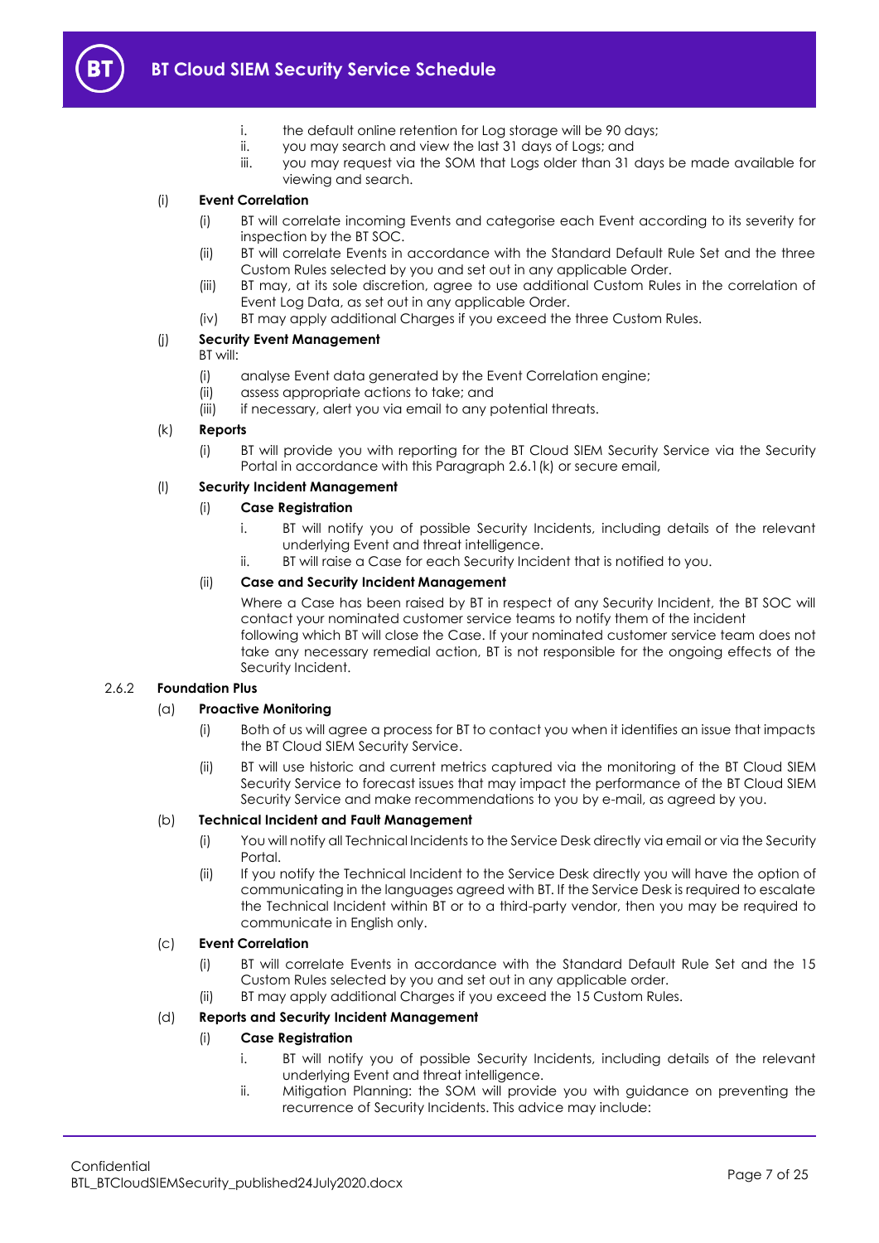

- i. the default online retention for Log storage will be 90 days;
- ii. you may search and view the last 31 days of Logs; and
- iii. you may request via the SOM that Logs older than 31 days be made available for viewing and search.

## (i) **Event Correlation**

- (i) BT will correlate incoming Events and categorise each Event according to its severity for inspection by the BT SOC.
- (ii) BT will correlate Events in accordance with the Standard Default Rule Set and the three Custom Rules selected by you and set out in any applicable Order.
- (iii) BT may, at its sole discretion, agree to use additional Custom Rules in the correlation of Event Log Data, as set out in any applicable Order.
- (iv) BT may apply additional Charges if you exceed the three Custom Rules.

## (j) **Security Event Management**

## BT will:

- (i) analyse Event data generated by the Event Correlation engine;
- (ii) assess appropriate actions to take; and
- (iii) if necessary, alert you via email to any potential threats.

## <span id="page-6-0"></span>(k) **Reports**

(i) BT will provide you with reporting for the BT Cloud SIEM Security Service via the Security Portal in accordance with this Paragrap[h 2.6.1\(k\)](#page-6-0) or secure email,

## (l) **Security Incident Management**

## (i) **Case Registration**

- i. BT will notify you of possible Security Incidents, including details of the relevant underlying Event and threat intelligence.
- ii. BT will raise a Case for each Security Incident that is notified to you.

## (ii) **Case and Security Incident Management**

Where a Case has been raised by BT in respect of any Security Incident, the BT SOC will contact your nominated customer service teams to notify them of the incident following which BT will close the Case. If your nominated customer service team does not take any necessary remedial action, BT is not responsible for the ongoing effects of the Security Incident.

## 2.6.2 **Foundation Plus**

## (a) **Proactive Monitoring**

- (i) Both of us will agree a process for BT to contact you when it identifies an issue that impacts the BT Cloud SIEM Security Service.
- (ii) BT will use historic and current metrics captured via the monitoring of the BT Cloud SIEM Security Service to forecast issues that may impact the performance of the BT Cloud SIEM Security Service and make recommendations to you by e-mail, as agreed by you.

## (b) **Technical Incident and Fault Management**

- (i) You will notify all Technical Incidents to the Service Desk directly via email or via the Security Portal.
- (ii) If you notify the Technical Incident to the Service Desk directly you will have the option of communicating in the languages agreed with BT. If the Service Desk is required to escalate the Technical Incident within BT or to a third-party vendor, then you may be required to communicate in English only.

## (c) **Event Correlation**

- (i) BT will correlate Events in accordance with the Standard Default Rule Set and the 15 Custom Rules selected by you and set out in any applicable order.
- (ii) BT may apply additional Charges if you exceed the 15 Custom Rules.

## (d) **Reports and Security Incident Management**

## (i) **Case Registration**

- i. BT will notify you of possible Security Incidents, including details of the relevant underlying Event and threat intelligence.
- ii. Mitigation Planning: the SOM will provide you with guidance on preventing the recurrence of Security Incidents. This advice may include: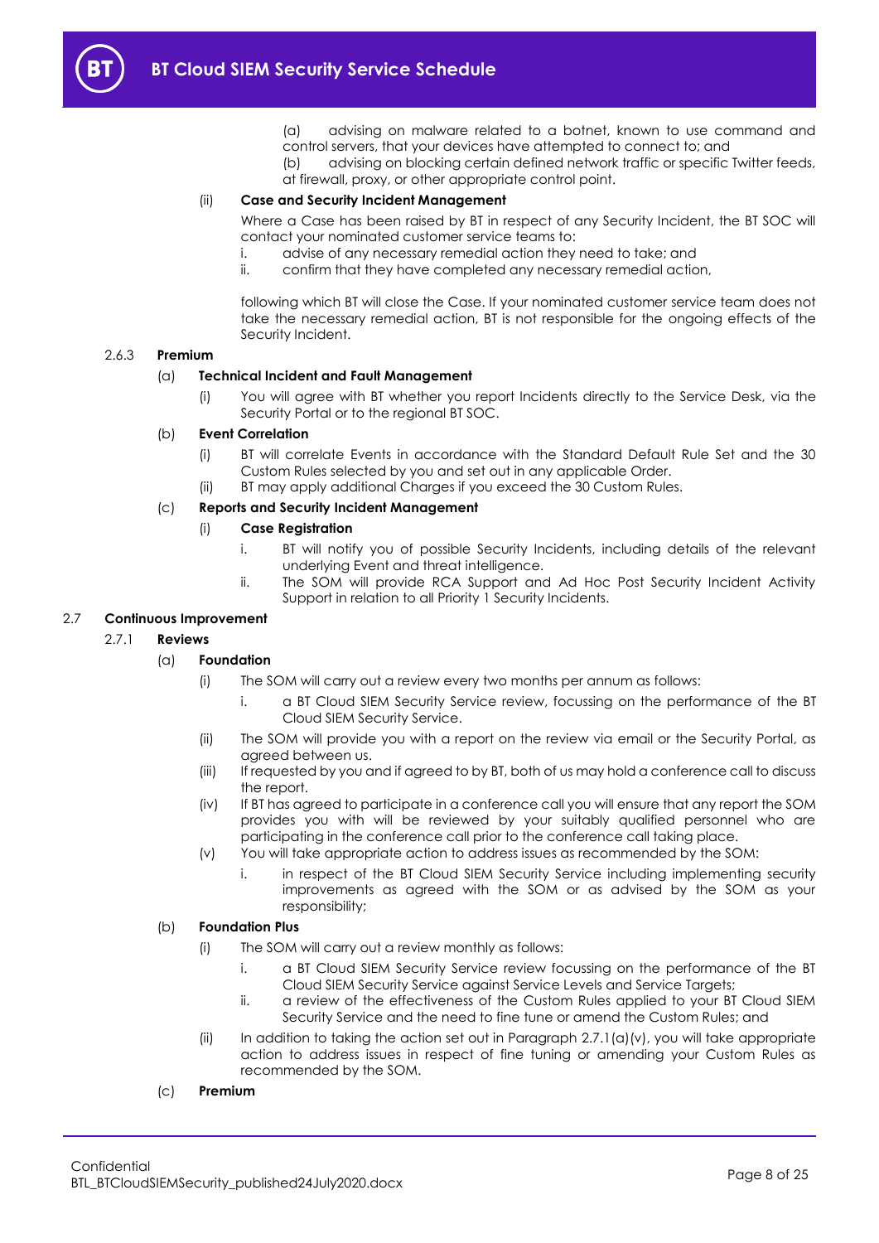- (a) advising on malware related to a botnet, known to use command and control servers, that your devices have attempted to connect to; and
- (b) advising on blocking certain defined network traffic or specific Twitter feeds, at firewall, proxy, or other appropriate control point.

## (ii) **Case and Security Incident Management**

Where a Case has been raised by BT in respect of any Security Incident, the BT SOC will contact your nominated customer service teams to:

- i. advise of any necessary remedial action they need to take; and
- ii. confirm that they have completed any necessary remedial action,

following which BT will close the Case. If your nominated customer service team does not take the necessary remedial action, BT is not responsible for the ongoing effects of the Security Incident.

#### 2.6.3 **Premium**

## (a) **Technical Incident and Fault Management**

(i) You will agree with BT whether you report Incidents directly to the Service Desk, via the Security Portal or to the regional BT SOC.

## (b) **Event Correlation**

- (i) BT will correlate Events in accordance with the Standard Default Rule Set and the 30 Custom Rules selected by you and set out in any applicable Order.
- (ii) BT may apply additional Charges if you exceed the 30 Custom Rules.

## (c) **Reports and Security Incident Management**

## (i) **Case Registration**

- i. BT will notify you of possible Security Incidents, including details of the relevant underlying Event and threat intelligence.
- ii. The SOM will provide RCA Support and Ad Hoc Post Security Incident Activity Support in relation to all Priority 1 Security Incidents.

## <span id="page-7-0"></span>2.7 **Continuous Improvement**

## 2.7.1 **Reviews**

## (a) **Foundation**

- (i) The SOM will carry out a review every two months per annum as follows:
	- i. a BT Cloud SIEM Security Service review, focussing on the performance of the BT Cloud SIEM Security Service.
- (ii) The SOM will provide you with a report on the review via email or the Security Portal, as agreed between us.
- (iii) If requested by you and if agreed to by BT, both of us may hold a conference call to discuss the report.
- (iv) If BT has agreed to participate in a conference call you will ensure that any report the SOM provides you with will be reviewed by your suitably qualified personnel who are participating in the conference call prior to the conference call taking place.
- (v) You will take appropriate action to address issues as recommended by the SOM:
	- i. in respect of the BT Cloud SIEM Security Service including implementing security improvements as agreed with the SOM or as advised by the SOM as your responsibility;

## <span id="page-7-1"></span>(b) **Foundation Plus**

- (i) The SOM will carry out a review monthly as follows:
	- i. a BT Cloud SIEM Security Service review focussing on the performance of the BT Cloud SIEM Security Service against Service Levels and Service Targets;
	- ii. a review of the effectiveness of the Custom Rules applied to your BT Cloud SIEM Security Service and the need to fine tune or amend the Custom Rules; and
- (ii) In addition to taking the action set out in Paragraph  $2.7.1$ (a)(v), you will take appropriate action to address issues in respect of fine tuning or amending your Custom Rules as recommended by the SOM.

## (c) **Premium**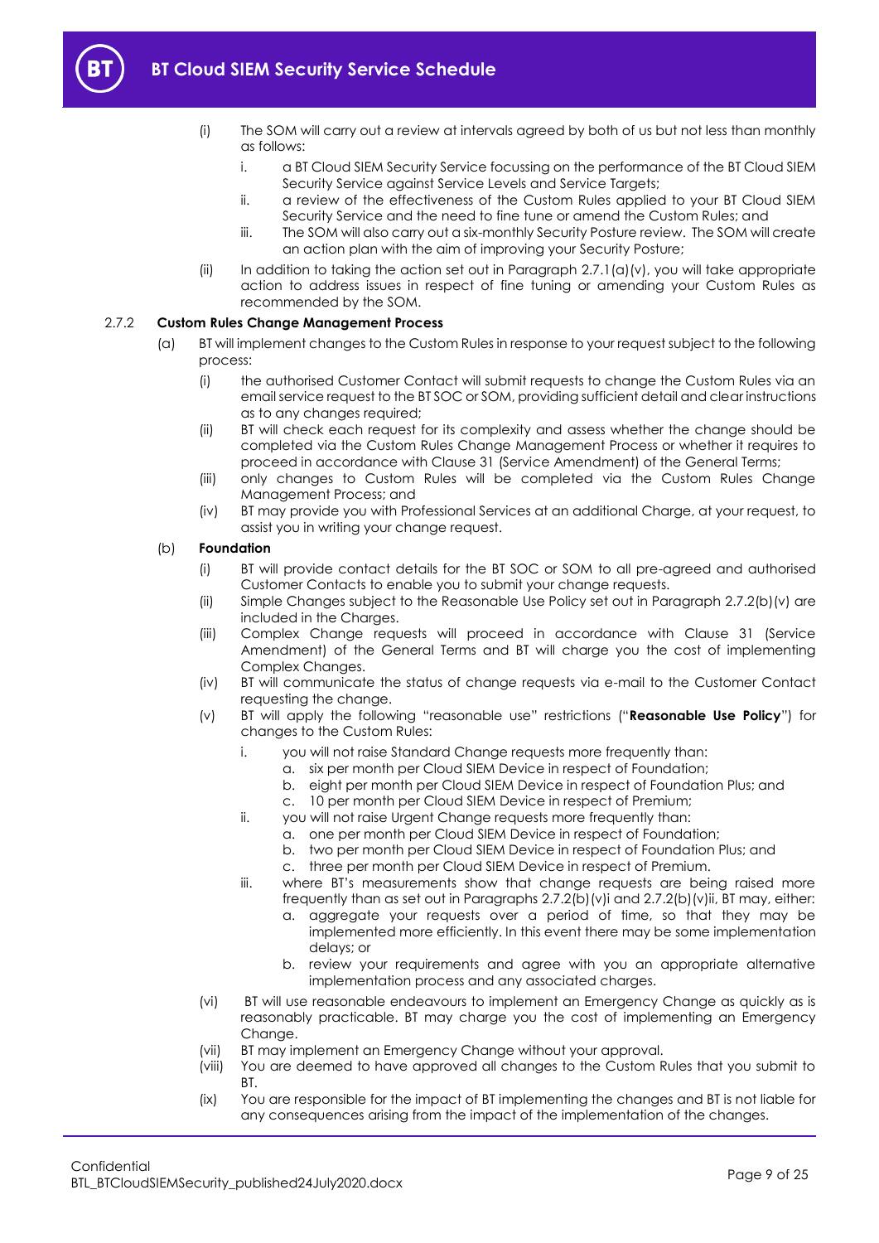

- (i) The SOM will carry out a review at intervals agreed by both of us but not less than monthly as follows:
	- i. a BT Cloud SIEM Security Service focussing on the performance of the BT Cloud SIEM Security Service against Service Levels and Service Targets;
	- ii. a review of the effectiveness of the Custom Rules applied to your BT Cloud SIEM Security Service and the need to fine tune or amend the Custom Rules; and
	- iii. The SOM will also carry out a six-monthly Security Posture review. The SOM will create an action plan with the aim of improving your Security Posture;
- (ii) In addition to taking the action set out in Paragraph  $2.7.1$ (a)(v), you will take appropriate action to address issues in respect of fine tuning or amending your Custom Rules as recommended by the SOM.

## <span id="page-8-0"></span>2.7.2 **Custom Rules Change Management Process**

- (a) BT will implement changes to the Custom Rules in response to your request subject to the following process:
	- (i) the authorised Customer Contact will submit requests to change the Custom Rules via an email service request to the BT SOC or SOM, providing sufficient detail and clear instructions as to any changes required;
	- (ii) BT will check each request for its complexity and assess whether the change should be completed via the Custom Rules Change Management Process or whether it requires to proceed in accordance with Clause 31 (Service Amendment) of the General Terms;
	- (iii) only changes to Custom Rules will be completed via the Custom Rules Change Management Process; and
	- (iv) BT may provide you with Professional Services at an additional Charge, at your request, to assist you in writing your change request.

## <span id="page-8-4"></span>(b) **Foundation**

- (i) BT will provide contact details for the BT SOC or SOM to all pre-agreed and authorised Customer Contacts to enable you to submit your change requests.
- (ii) Simple Changes subject to the Reasonable Use Policy set out in Paragraph [2.7.2\(b\)\(v\)](#page-8-1) are included in the Charges.
- (iii) Complex Change requests will proceed in accordance with Clause 31 (Service Amendment) of the General Terms and BT will charge you the cost of implementing Complex Changes.
- (iv) BT will communicate the status of change requests via e-mail to the Customer Contact requesting the change.
- <span id="page-8-3"></span><span id="page-8-2"></span><span id="page-8-1"></span>(v) BT will apply the following "reasonable use" restrictions ("**Reasonable Use Policy**") for changes to the Custom Rules:
	- i. you will not raise Standard Change requests more frequently than:
		- a. six per month per Cloud SIEM Device in respect of Foundation;
		- b. eight per month per Cloud SIEM Device in respect of Foundation Plus; and
		- c. 10 per month per Cloud SIEM Device in respect of Premium;
	- ii. you will not raise Urgent Change requests more frequently than:
		- a. one per month per Cloud SIEM Device in respect of Foundation;
		- b. two per month per Cloud SIEM Device in respect of Foundation Plus; and
		- c. three per month per Cloud SIEM Device in respect of Premium.
	- iii. where BT's measurements show that change requests are being raised more frequently than as set out in Paragraphs [2.7.2\(b\)\(v\)i](#page-8-2) and [2.7.2\(b\)\(v\)ii,](#page-8-3) BT may, either:
		- a. aggregate your requests over a period of time, so that they may be implemented more efficiently. In this event there may be some implementation delays; or
		- b. review your requirements and agree with you an appropriate alternative implementation process and any associated charges.
- <span id="page-8-6"></span><span id="page-8-5"></span>(vi) BT will use reasonable endeavours to implement an Emergency Change as quickly as is reasonably practicable. BT may charge you the cost of implementing an Emergency Change.
- (vii) BT may implement an Emergency Change without your approval.
- (viii) You are deemed to have approved all changes to the Custom Rules that you submit to BT.
- (ix) You are responsible for the impact of BT implementing the changes and BT is not liable for any consequences arising from the impact of the implementation of the changes.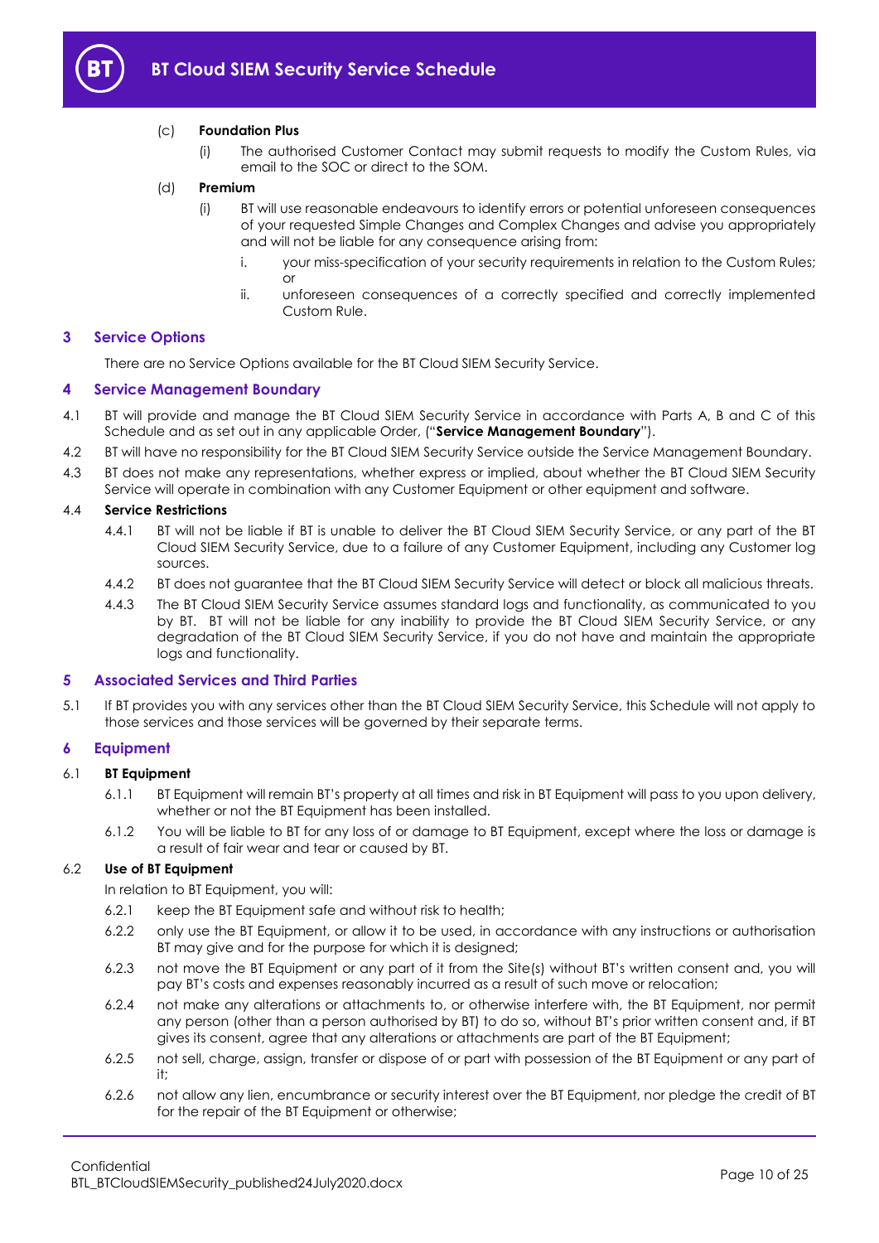

## (c) **Foundation Plus**

(i) The authorised Customer Contact may submit requests to modify the Custom Rules, via email to the SOC or direct to the SOM.

## (d) **Premium**

- (i) BT will use reasonable endeavours to identify errors or potential unforeseen consequences of your requested Simple Changes and Complex Changes and advise you appropriately and will not be liable for any consequence arising from:
	- i. your miss-specification of your security requirements in relation to the Custom Rules; or
	- ii. unforeseen consequences of a correctly specified and correctly implemented Custom Rule.

#### <span id="page-9-0"></span>**3 Service Options**

There are no Service Options available for the BT Cloud SIEM Security Service.

#### <span id="page-9-1"></span>**4 Service Management Boundary**

- <span id="page-9-4"></span>4.1 BT will provide and manage the BT Cloud SIEM Security Service in accordance with Parts A, B and C of this Schedule and as set out in any applicable Order, ("**Service Management Boundary**").
- 4.2 BT will have no responsibility for the BT Cloud SIEM Security Service outside the Service Management Boundary.
- 4.3 BT does not make any representations, whether express or implied, about whether the BT Cloud SIEM Security Service will operate in combination with any Customer Equipment or other equipment and software.

## 4.4 **Service Restrictions**

- 4.4.1 BT will not be liable if BT is unable to deliver the BT Cloud SIEM Security Service, or any part of the BT Cloud SIEM Security Service, due to a failure of any Customer Equipment, including any Customer log sources.
- 4.4.2 BT does not guarantee that the BT Cloud SIEM Security Service will detect or block all malicious threats.
- 4.4.3 The BT Cloud SIEM Security Service assumes standard logs and functionality, as communicated to you by BT. BT will not be liable for any inability to provide the BT Cloud SIEM Security Service, or any degradation of the BT Cloud SIEM Security Service, if you do not have and maintain the appropriate logs and functionality.

#### <span id="page-9-2"></span>**5 Associated Services and Third Parties**

5.1 If BT provides you with any services other than the BT Cloud SIEM Security Service, this Schedule will not apply to those services and those services will be governed by their separate terms.

## <span id="page-9-3"></span>**6 Equipment**

## 6.1 **BT Equipment**

- 6.1.1 BT Equipment will remain BT's property at all times and risk in BT Equipment will pass to you upon delivery, whether or not the BT Equipment has been installed.
- 6.1.2 You will be liable to BT for any loss of or damage to BT Equipment, except where the loss or damage is a result of fair wear and tear or caused by BT.

## 6.2 **Use of BT Equipment**

In relation to BT Equipment, you will:

- 6.2.1 keep the BT Equipment safe and without risk to health;
- 6.2.2 only use the BT Equipment, or allow it to be used, in accordance with any instructions or authorisation BT may give and for the purpose for which it is designed;
- 6.2.3 not move the BT Equipment or any part of it from the Site(s) without BT's written consent and, you will pay BT's costs and expenses reasonably incurred as a result of such move or relocation;
- 6.2.4 not make any alterations or attachments to, or otherwise interfere with, the BT Equipment, nor permit any person (other than a person authorised by BT) to do so, without BT's prior written consent and, if BT gives its consent, agree that any alterations or attachments are part of the BT Equipment;
- 6.2.5 not sell, charge, assign, transfer or dispose of or part with possession of the BT Equipment or any part of it;
- 6.2.6 not allow any lien, encumbrance or security interest over the BT Equipment, nor pledge the credit of BT for the repair of the BT Equipment or otherwise;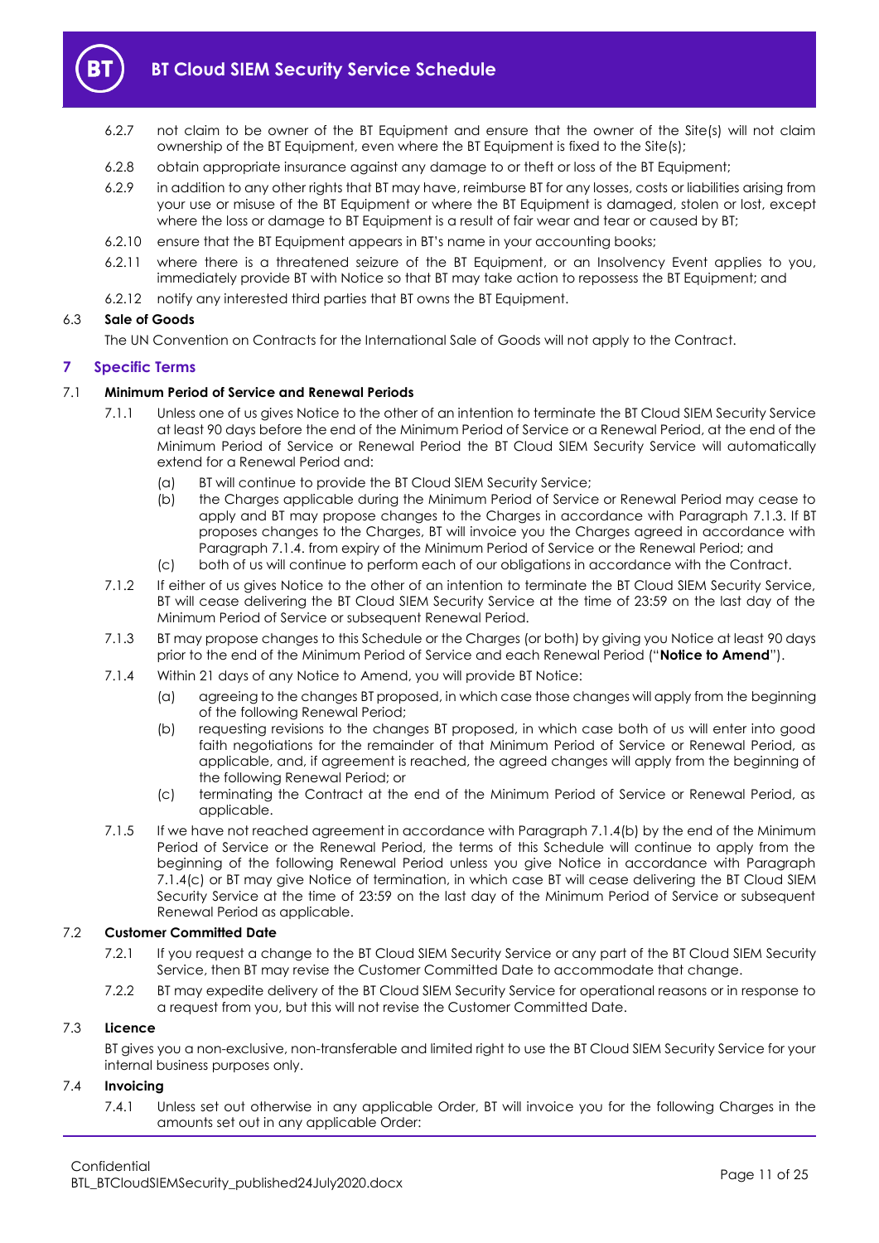

- 6.2.7 not claim to be owner of the BT Equipment and ensure that the owner of the Site(s) will not claim ownership of the BT Equipment, even where the BT Equipment is fixed to the Site(s);
- 6.2.8 obtain appropriate insurance against any damage to or theft or loss of the BT Equipment;
- 6.2.9 in addition to any other rights that BT may have, reimburse BT for any losses, costs or liabilities arising from your use or misuse of the BT Equipment or where the BT Equipment is damaged, stolen or lost, except where the loss or damage to BT Equipment is a result of fair wear and tear or caused by BT;
- 6.2.10 ensure that the BT Equipment appears in BT's name in your accounting books;
- 6.2.11 where there is a threatened seizure of the BT Equipment, or an Insolvency Event applies to you, immediately provide BT with Notice so that BT may take action to repossess the BT Equipment; and
- 6.2.12 notify any interested third parties that BT owns the BT Equipment.

## 6.3 **Sale of Goods**

The UN Convention on Contracts for the International Sale of Goods will not apply to the Contract.

## <span id="page-10-0"></span>**7 Specific Terms**

## 7.1 **Minimum Period of Service and Renewal Periods**

- 7.1.1 Unless one of us gives Notice to the other of an intention to terminate the BT Cloud SIEM Security Service at least 90 days before the end of the Minimum Period of Service or a Renewal Period, at the end of the Minimum Period of Service or Renewal Period the BT Cloud SIEM Security Service will automatically extend for a Renewal Period and:
	- (a) BT will continue to provide the BT Cloud SIEM Security Service;
	- (b) the Charges applicable during the Minimum Period of Service or Renewal Period may cease to apply and BT may propose changes to the Charges in accordance with Paragraph [7.1.3.](#page-10-1) If BT proposes changes to the Charges, BT will invoice you the Charges agreed in accordance with Paragraph [7.1.4.](#page-10-2) from expiry of the Minimum Period of Service or the Renewal Period; and
	- (c) both of us will continue to perform each of our obligations in accordance with the Contract.
- 7.1.2 If either of us gives Notice to the other of an intention to terminate the BT Cloud SIEM Security Service, BT will cease delivering the BT Cloud SIEM Security Service at the time of 23:59 on the last day of the Minimum Period of Service or subsequent Renewal Period.
- <span id="page-10-1"></span>7.1.3 BT may propose changes to this Schedule or the Charges (or both) by giving you Notice at least 90 days prior to the end of the Minimum Period of Service and each Renewal Period ("**Notice to Amend**").
- <span id="page-10-3"></span><span id="page-10-2"></span>7.1.4 Within 21 days of any Notice to Amend, you will provide BT Notice:
	- (a) agreeing to the changes BT proposed, in which case those changes will apply from the beginning of the following Renewal Period;
	- (b) requesting revisions to the changes BT proposed, in which case both of us will enter into good faith negotiations for the remainder of that Minimum Period of Service or Renewal Period, as applicable, and, if agreement is reached, the agreed changes will apply from the beginning of the following Renewal Period; or
	- (c) terminating the Contract at the end of the Minimum Period of Service or Renewal Period, as applicable.
- <span id="page-10-4"></span>7.1.5 If we have not reached agreement in accordance with Paragraph [7.1.4\(b\)](#page-10-3) by the end of the Minimum Period of Service or the Renewal Period, the terms of this Schedule will continue to apply from the beginning of the following Renewal Period unless you give Notice in accordance with Paragraph [7.1.4\(c\)](#page-10-4) or BT may give Notice of termination, in which case BT will cease delivering the BT Cloud SIEM Security Service at the time of 23:59 on the last day of the Minimum Period of Service or subsequent Renewal Period as applicable.

## <span id="page-10-5"></span>7.2 **Customer Committed Date**

- 7.2.1 If you request a change to the BT Cloud SIEM Security Service or any part of the BT Cloud SIEM Security Service, then BT may revise the Customer Committed Date to accommodate that change.
- 7.2.2 BT may expedite delivery of the BT Cloud SIEM Security Service for operational reasons or in response to a request from you, but this will not revise the Customer Committed Date.

## 7.3 **Licence**

BT gives you a non-exclusive, non-transferable and limited right to use the BT Cloud SIEM Security Service for your internal business purposes only.

## 7.4 **Invoicing**

7.4.1 Unless set out otherwise in any applicable Order, BT will invoice you for the following Charges in the amounts set out in any applicable Order: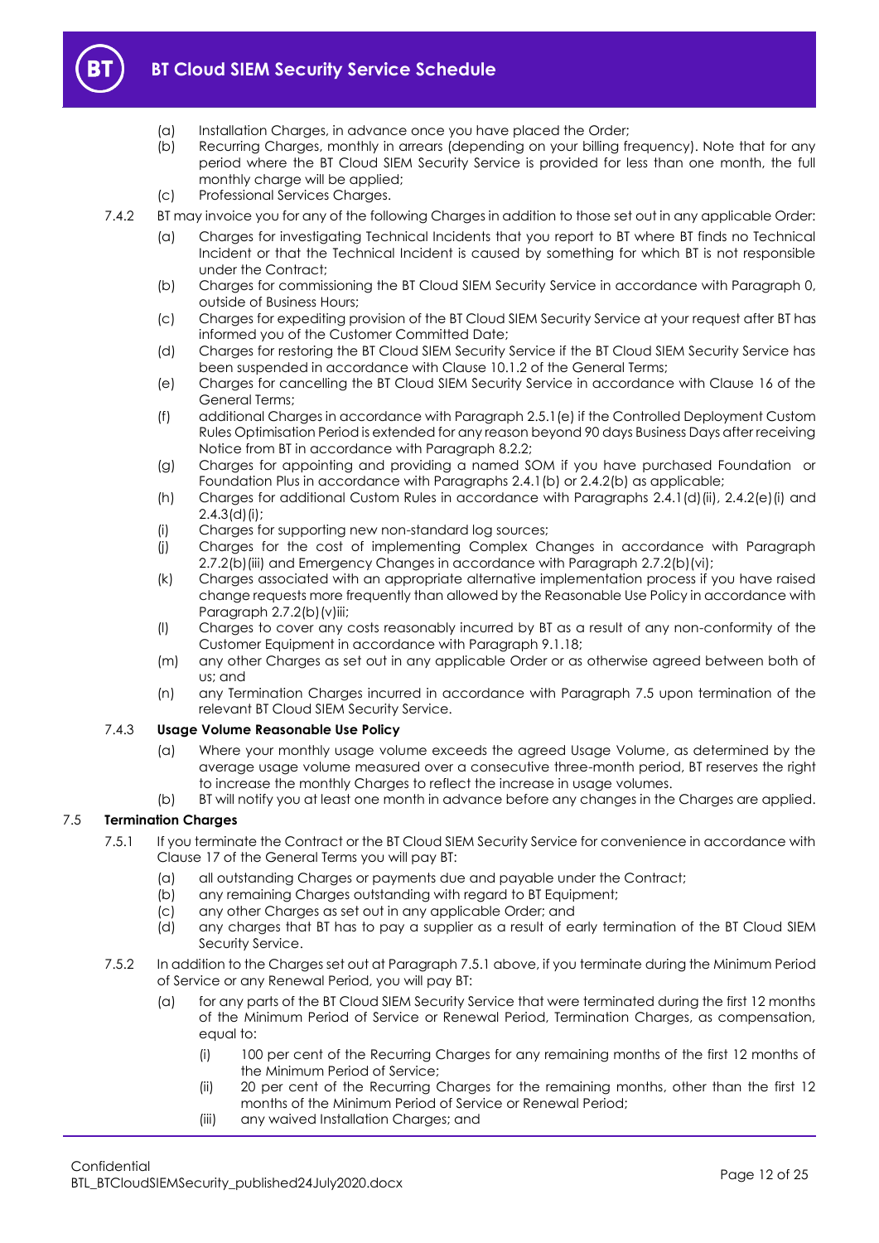

- (a) Installation Charges, in advance once you have placed the Order;
- (b) Recurring Charges, monthly in arrears (depending on your billing frequency). Note that for any period where the BT Cloud SIEM Security Service is provided for less than one month, the full monthly charge will be applied;
- (c) Professional Services Charges.
- 7.4.2 BT may invoice you for any of the following Charges in addition to those set out in any applicable Order:
	- (a) Charges for investigating Technical Incidents that you report to BT where BT finds no Technical Incident or that the Technical Incident is caused by something for which BT is not responsible under the Contract;
	- (b) Charges for commissioning the BT Cloud SIEM Security Service in accordance with Paragraph [0,](#page-13-4)  outside of Business Hours;
	- (c) Charges for expediting provision of the BT Cloud SIEM Security Service at your request after BT has informed you of the Customer Committed Date;
	- (d) Charges for restoring the BT Cloud SIEM Security Service if the BT Cloud SIEM Security Service has been suspended in accordance with Clause 10.1.2 of the General Terms;
	- (e) Charges for cancelling the BT Cloud SIEM Security Service in accordance with Clause 16 of the General Terms;
	- (f) additional Charges in accordance with Paragraph [2.5.1\(e\)](#page-4-3) if the Controlled Deployment Custom Rules Optimisation Period is extended for any reason beyond 90 days Business Days after receiving Notice from BT in accordance with Paragraph [8.2.2;](#page-13-3)
	- (g) Charges for appointing and providing a named SOM if you have purchased Foundation or Foundation Plus in accordance with Paragraphs [2.4.1\(b\)](#page-2-4) or [2.4.2\(b\)](#page-3-1) as applicable;
	- (h) Charges for additional Custom Rules in accordance with Paragraphs [2.4.1\(d\)\(ii\),](#page-2-5) [2.4.2\(e\)\(i\)](#page-3-2) and  $2.4.3$ (d)(i);
	- (i) Charges for supporting new non-standard log sources;
	- (j) Charges for the cost of implementing Complex Changes in accordance with Paragraph [2.7.2\(b\)\(iii\)](#page-8-4) and Emergency Changes in accordance with Paragraph [2.7.2\(b\)\(vi\);](#page-8-5)
	- (k) Charges associated with an appropriate alternative implementation process if you have raised change requests more frequently than allowed by the Reasonable Use Policy in accordance with Paragraph [2.7.2\(b\)\(v\)iii;](#page-8-6)
	- (l) Charges to cover any costs reasonably incurred by BT as a result of any non-conformity of the Customer Equipment in accordance with Paragraph [9.1.18;](#page-15-1)
	- (m) any other Charges as set out in any applicable Order or as otherwise agreed between both of us; and
	- (n) any Termination Charges incurred in accordance with Paragraph [7.5](#page-11-0) upon termination of the relevant BT Cloud SIEM Security Service.

## 7.4.3 **Usage Volume Reasonable Use Policy**

- (a) Where your monthly usage volume exceeds the agreed Usage Volume, as determined by the average usage volume measured over a consecutive three-month period, BT reserves the right to increase the monthly Charges to reflect the increase in usage volumes.
- (b) BT will notify you at least one month in advance before any changes in the Charges are applied.

## <span id="page-11-1"></span><span id="page-11-0"></span>7.5 **Termination Charges**

- 7.5.1 If you terminate the Contract or the BT Cloud SIEM Security Service for convenience in accordance with Clause 17 of the General Terms you will pay BT:
	- (a) all outstanding Charges or payments due and payable under the Contract;
	- (b) any remaining Charges outstanding with regard to BT Equipment;
	- (c) any other Charges as set out in any applicable Order; and
	- (d) any charges that BT has to pay a supplier as a result of early termination of the BT Cloud SIEM Security Service.
- 7.5.2 In addition to the Charges set out at Paragraph [7.5.1](#page-11-1) above, if you terminate during the Minimum Period of Service or any Renewal Period, you will pay BT:
	- (a) for any parts of the BT Cloud SIEM Security Service that were terminated during the first 12 months of the Minimum Period of Service or Renewal Period, Termination Charges, as compensation, equal to:
		- (i) 100 per cent of the Recurring Charges for any remaining months of the first 12 months of the Minimum Period of Service;
		- (ii) 20 per cent of the Recurring Charges for the remaining months, other than the first 12 months of the Minimum Period of Service or Renewal Period;
		- (iii) any waived Installation Charges; and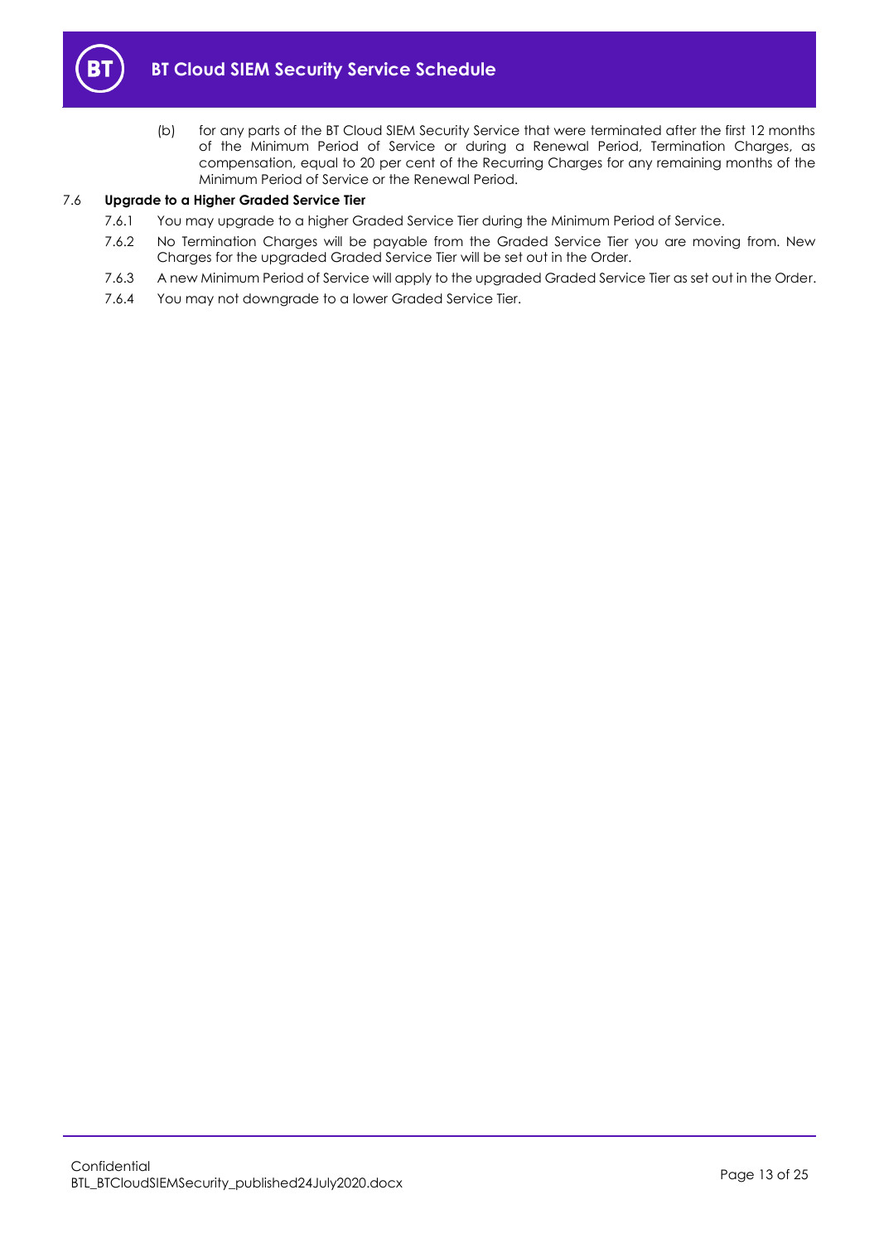

(b) for any parts of the BT Cloud SIEM Security Service that were terminated after the first 12 months of the Minimum Period of Service or during a Renewal Period, Termination Charges, as compensation, equal to 20 per cent of the Recurring Charges for any remaining months of the Minimum Period of Service or the Renewal Period.

## 7.6 **Upgrade to a Higher Graded Service Tier**

- 7.6.1 You may upgrade to a higher Graded Service Tier during the Minimum Period of Service.
- 7.6.2 No Termination Charges will be payable from the Graded Service Tier you are moving from. New Charges for the upgraded Graded Service Tier will be set out in the Order.
- 7.6.3 A new Minimum Period of Service will apply to the upgraded Graded Service Tier as set out in the Order.
- 7.6.4 You may not downgrade to a lower Graded Service Tier.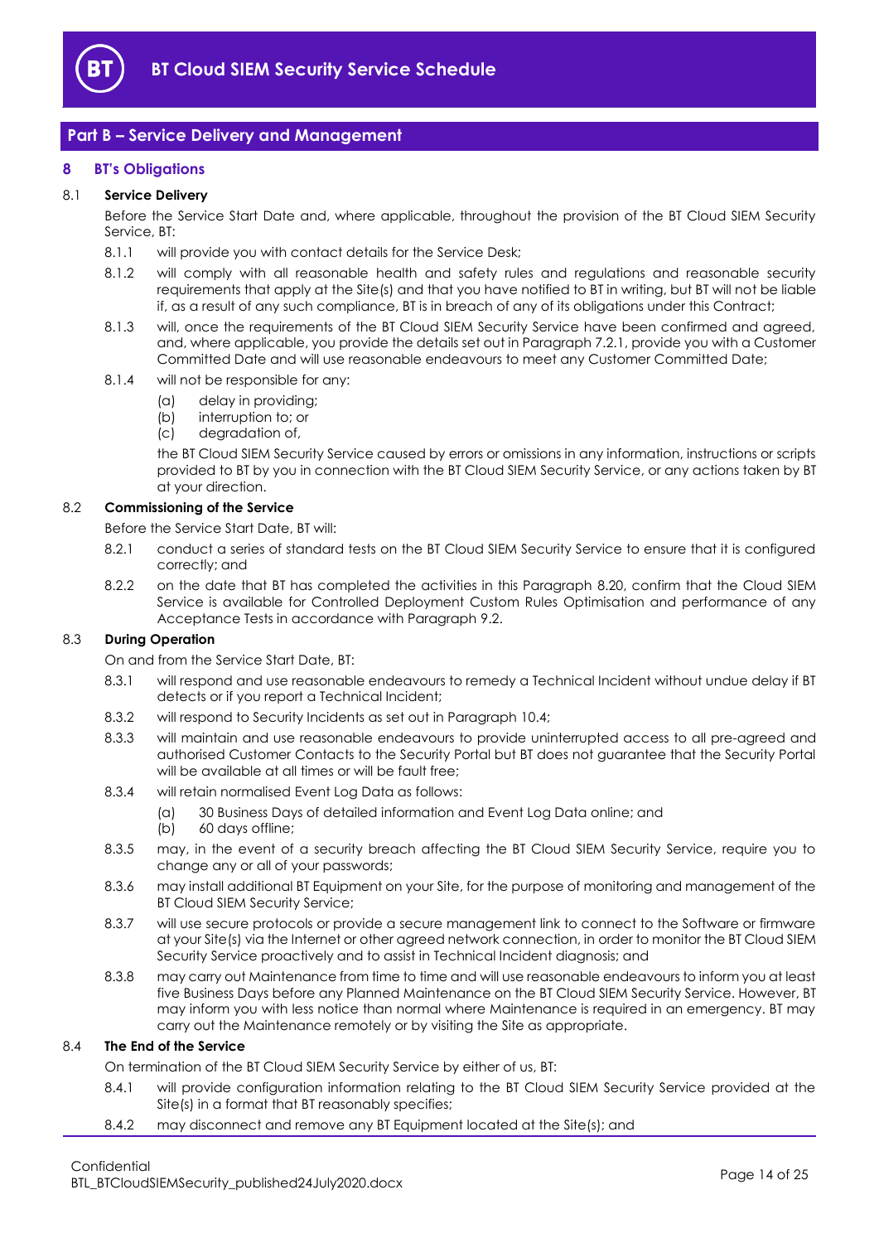

## <span id="page-13-0"></span>**Part B – Service Delivery and Management**

## <span id="page-13-1"></span>**8 BT's Obligations**

## <span id="page-13-4"></span>8.1 **Service Delivery**

Before the Service Start Date and, where applicable, throughout the provision of the BT Cloud SIEM Security Service, BT:

- 8.1.1 will provide you with contact details for the Service Desk;
- 8.1.2 will comply with all reasonable health and safety rules and regulations and reasonable security requirements that apply at the Site(s) and that you have notified to BT in writing, but BT will not be liable if, as a result of any such compliance, BT is in breach of any of its obligations under this Contract;
- 8.1.3 will, once the requirements of the BT Cloud SIEM Security Service have been confirmed and agreed, and, where applicable, you provide the details set out in Paragraph [7.2.1,](#page-10-5) provide you with a Customer Committed Date and will use reasonable endeavours to meet any Customer Committed Date;
- 8.1.4 will not be responsible for any:
	- (a) delay in providing;
	- (b) interruption to; or
	- (c) degradation of,

the BT Cloud SIEM Security Service caused by errors or omissions in any information, instructions or scripts provided to BT by you in connection with the BT Cloud SIEM Security Service, or any actions taken by BT at your direction.

## <span id="page-13-2"></span>8.2 **Commissioning of the Service**

Before the Service Start Date, BT will:

- 8.2.1 conduct a series of standard tests on the BT Cloud SIEM Security Service to ensure that it is configured correctly; and
- <span id="page-13-3"></span>8.2.2 on the date that BT has completed the activities in this Paragraph [8.2](#page-13-2)[0,](#page-13-4) confirm that the Cloud SIEM Service is available for Controlled Deployment Custom Rules Optimisation and performance of any Acceptance Tests in accordance with Paragraph [9.2.](#page-15-0)

## <span id="page-13-6"></span>8.3 **During Operation**

On and from the Service Start Date, BT:

- 8.3.1 will respond and use reasonable endeavours to remedy a Technical Incident without undue delay if BT detects or if you report a Technical Incident;
- 8.3.2 will respond to Security Incidents as set out in Paragrap[h 10.4;](#page-19-0)
- 8.3.3 will maintain and use reasonable endeavours to provide uninterrupted access to all pre-agreed and authorised Customer Contacts to the Security Portal but BT does not guarantee that the Security Portal will be available at all times or will be fault free:
- 8.3.4 will retain normalised Event Log Data as follows:
	- (a) 30 Business Days of detailed information and Event Log Data online; and
	- (b) 60 days offline;
- 8.3.5 may, in the event of a security breach affecting the BT Cloud SIEM Security Service, require you to change any or all of your passwords;
- 8.3.6 may install additional BT Equipment on your Site, for the purpose of monitoring and management of the BT Cloud SIEM Security Service;
- 8.3.7 will use secure protocols or provide a secure management link to connect to the Software or firmware at your Site(s) via the Internet or other agreed network connection, in order to monitor the BT Cloud SIEM Security Service proactively and to assist in Technical Incident diagnosis; and
- 8.3.8 may carry out Maintenance from time to time and will use reasonable endeavours to inform you at least five Business Days before any Planned Maintenance on the BT Cloud SIEM Security Service. However, BT may inform you with less notice than normal where Maintenance is required in an emergency. BT may carry out the Maintenance remotely or by visiting the Site as appropriate.

## 8.4 **The End of the Service**

On termination of the BT Cloud SIEM Security Service by either of us, BT:

- 8.4.1 will provide configuration information relating to the BT Cloud SIEM Security Service provided at the Site(s) in a format that BT reasonably specifies;
- <span id="page-13-5"></span>8.4.2 may disconnect and remove any BT Equipment located at the Site(s); and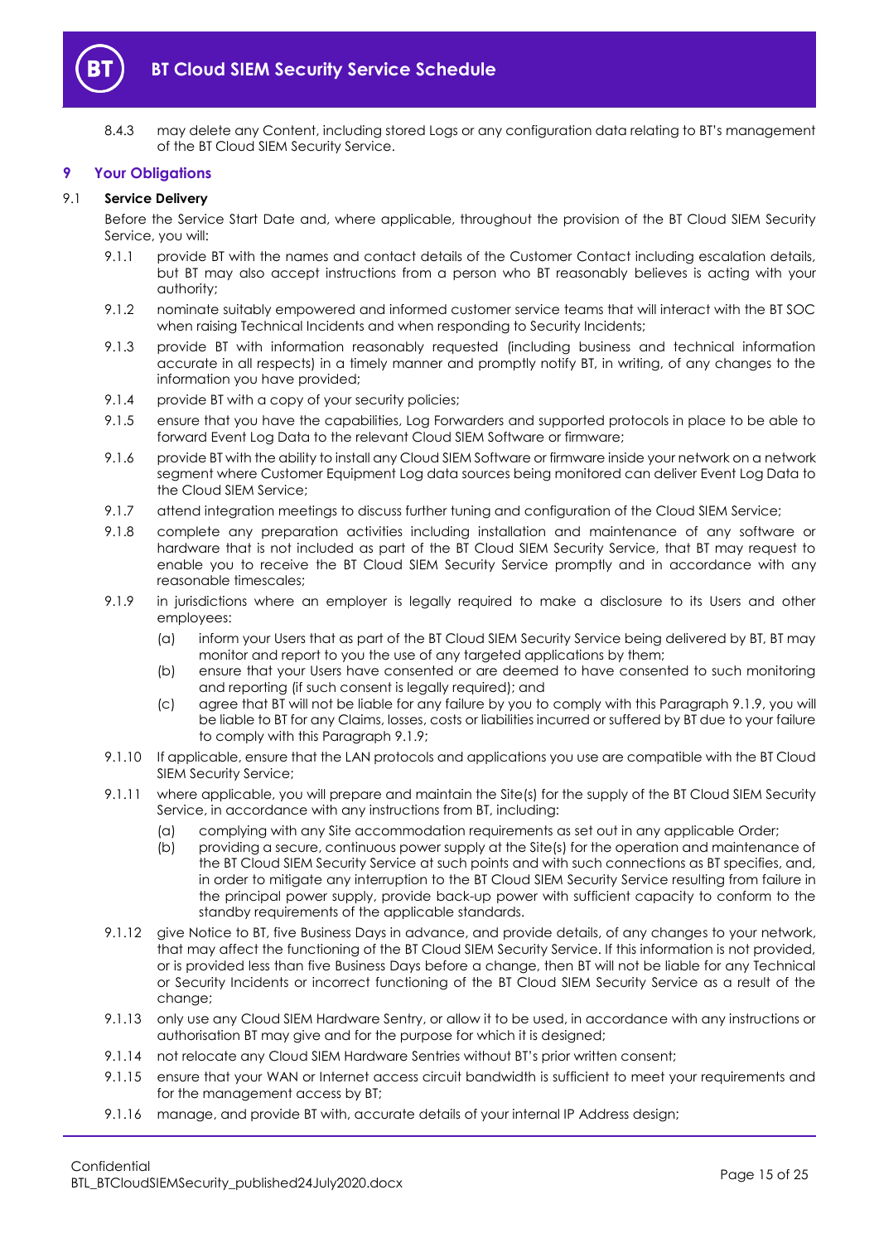

8.4.3 may delete any Content, including stored Logs or any configuration data relating to BT's management of the BT Cloud SIEM Security Service.

## <span id="page-14-0"></span>**9 Your Obligations**

## 9.1 **Service Delivery**

Before the Service Start Date and, where applicable, throughout the provision of the BT Cloud SIEM Security Service, you will:

- 9.1.1 provide BT with the names and contact details of the Customer Contact including escalation details, but BT may also accept instructions from a person who BT reasonably believes is acting with your authority;
- 9.1.2 nominate suitably empowered and informed customer service teams that will interact with the BT SOC when raising Technical Incidents and when responding to Security Incidents;
- 9.1.3 provide BT with information reasonably requested (including business and technical information accurate in all respects) in a timely manner and promptly notify BT, in writing, of any changes to the information you have provided;
- 9.1.4 provide BT with a copy of your security policies;
- 9.1.5 ensure that you have the capabilities, Log Forwarders and supported protocols in place to be able to forward Event Log Data to the relevant Cloud SIEM Software or firmware;
- 9.1.6 provide BT with the ability to install any Cloud SIEM Software or firmware inside your network on a network segment where Customer Equipment Log data sources being monitored can deliver Event Log Data to the Cloud SIEM Service;
- 9.1.7 attend integration meetings to discuss further tuning and configuration of the Cloud SIEM Service;
- 9.1.8 complete any preparation activities including installation and maintenance of any software or hardware that is not included as part of the BT Cloud SIEM Security Service, that BT may request to enable you to receive the BT Cloud SIEM Security Service promptly and in accordance with any reasonable timescales;
- <span id="page-14-1"></span>9.1.9 in jurisdictions where an employer is legally required to make a disclosure to its Users and other employees:
	- (a) inform your Users that as part of the BT Cloud SIEM Security Service being delivered by BT, BT may monitor and report to you the use of any targeted applications by them;
	- (b) ensure that your Users have consented or are deemed to have consented to such monitoring and reporting (if such consent is legally required); and
	- (c) agree that BT will not be liable for any failure by you to comply with this Paragraph [9.1.9,](#page-14-1) you will be liable to BT for any Claims, losses, costs or liabilities incurred or suffered by BT due to your failure to comply with this Paragrap[h 9.1.9;](#page-14-1)
- 9.1.10 If applicable, ensure that the LAN protocols and applications you use are compatible with the BT Cloud SIEM Security Service;
- 9.1.11 where applicable, you will prepare and maintain the Site(s) for the supply of the BT Cloud SIEM Security Service, in accordance with any instructions from BT, including:
	- (a) complying with any Site accommodation requirements as set out in any applicable Order;
	- (b) providing a secure, continuous power supply at the Site(s) for the operation and maintenance of the BT Cloud SIEM Security Service at such points and with such connections as BT specifies, and, in order to mitigate any interruption to the BT Cloud SIEM Security Service resulting from failure in the principal power supply, provide back-up power with sufficient capacity to conform to the standby requirements of the applicable standards.
- 9.1.12 give Notice to BT, five Business Days in advance, and provide details, of any changes to your network, that may affect the functioning of the BT Cloud SIEM Security Service. If this information is not provided, or is provided less than five Business Days before a change, then BT will not be liable for any Technical or Security Incidents or incorrect functioning of the BT Cloud SIEM Security Service as a result of the change:
- 9.1.13 only use any Cloud SIEM Hardware Sentry, or allow it to be used, in accordance with any instructions or authorisation BT may give and for the purpose for which it is designed;
- 9.1.14 not relocate any Cloud SIEM Hardware Sentries without BT's prior written consent;
- 9.1.15 ensure that your WAN or Internet access circuit bandwidth is sufficient to meet your requirements and for the management access by BT;
- 9.1.16 manage, and provide BT with, accurate details of your internal IP Address design;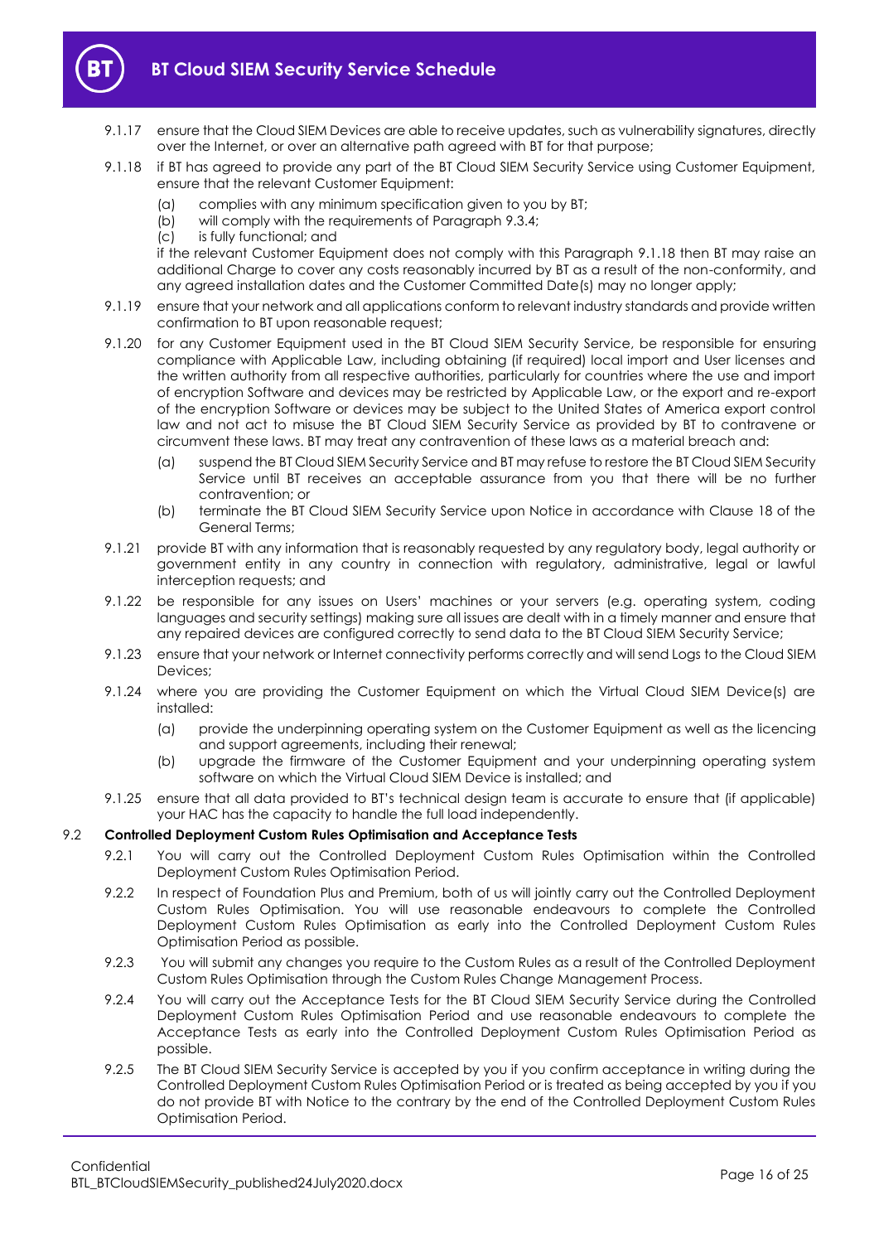

- 9.1.17 ensure that the Cloud SIEM Devices are able to receive updates, such as vulnerability signatures, directly over the Internet, or over an alternative path agreed with BT for that purpose;
- <span id="page-15-1"></span>9.1.18 if BT has agreed to provide any part of the BT Cloud SIEM Security Service using Customer Equipment, ensure that the relevant Customer Equipment:
	- (a) complies with any minimum specification given to you by BT;
	- (b) will comply with the requirements of Paragraph [9.3.4;](#page-16-0)
	- (c) is fully functional; and

if the relevant Customer Equipment does not comply with this Paragraph [9.1.18](#page-15-1) then BT may raise an additional Charge to cover any costs reasonably incurred by BT as a result of the non-conformity, and any agreed installation dates and the Customer Committed Date(s) may no longer apply;

- 9.1.19 ensure that your network and all applications conform to relevant industry standards and provide written confirmation to BT upon reasonable request;
- 9.1.20 for any Customer Equipment used in the BT Cloud SIEM Security Service, be responsible for ensuring compliance with Applicable Law, including obtaining (if required) local import and User licenses and the written authority from all respective authorities, particularly for countries where the use and import of encryption Software and devices may be restricted by Applicable Law, or the export and re-export of the encryption Software or devices may be subject to the United States of America export control law and not act to misuse the BT Cloud SIEM Security Service as provided by BT to contravene or circumvent these laws. BT may treat any contravention of these laws as a material breach and:
	- (a) suspend the BT Cloud SIEM Security Service and BT may refuse to restore the BT Cloud SIEM Security Service until BT receives an acceptable assurance from you that there will be no further contravention; or
	- (b) terminate the BT Cloud SIEM Security Service upon Notice in accordance with Clause 18 of the General Terms;
- 9.1.21 provide BT with any information that is reasonably requested by any regulatory body, legal authority or government entity in any country in connection with regulatory, administrative, legal or lawful interception requests; and
- 9.1.22 be responsible for any issues on Users' machines or your servers (e.g. operating system, coding languages and security settings) making sure all issues are dealt with in a timely manner and ensure that any repaired devices are configured correctly to send data to the BT Cloud SIEM Security Service;
- 9.1.23 ensure that your network or Internet connectivity performs correctly and will send Logs to the Cloud SIEM Devices;
- 9.1.24 where you are providing the Customer Equipment on which the Virtual Cloud SIEM Device(s) are installed:
	- (a) provide the underpinning operating system on the Customer Equipment as well as the licencing and support agreements, including their renewal;
	- (b) upgrade the firmware of the Customer Equipment and your underpinning operating system software on which the Virtual Cloud SIEM Device is installed; and
- 9.1.25 ensure that all data provided to BT's technical design team is accurate to ensure that (if applicable) your HAC has the capacity to handle the full load independently.

## <span id="page-15-0"></span>9.2 **Controlled Deployment Custom Rules Optimisation and Acceptance Tests**

- 9.2.1 You will carry out the Controlled Deployment Custom Rules Optimisation within the Controlled Deployment Custom Rules Optimisation Period.
- 9.2.2 In respect of Foundation Plus and Premium, both of us will jointly carry out the Controlled Deployment Custom Rules Optimisation. You will use reasonable endeavours to complete the Controlled Deployment Custom Rules Optimisation as early into the Controlled Deployment Custom Rules Optimisation Period as possible.
- 9.2.3 You will submit any changes you require to the Custom Rules as a result of the Controlled Deployment Custom Rules Optimisation through the Custom Rules Change Management Process.
- 9.2.4 You will carry out the Acceptance Tests for the BT Cloud SIEM Security Service during the Controlled Deployment Custom Rules Optimisation Period and use reasonable endeavours to complete the Acceptance Tests as early into the Controlled Deployment Custom Rules Optimisation Period as possible.
- <span id="page-15-2"></span>9.2.5 The BT Cloud SIEM Security Service is accepted by you if you confirm acceptance in writing during the Controlled Deployment Custom Rules Optimisation Period or is treated as being accepted by you if you do not provide BT with Notice to the contrary by the end of the Controlled Deployment Custom Rules Optimisation Period.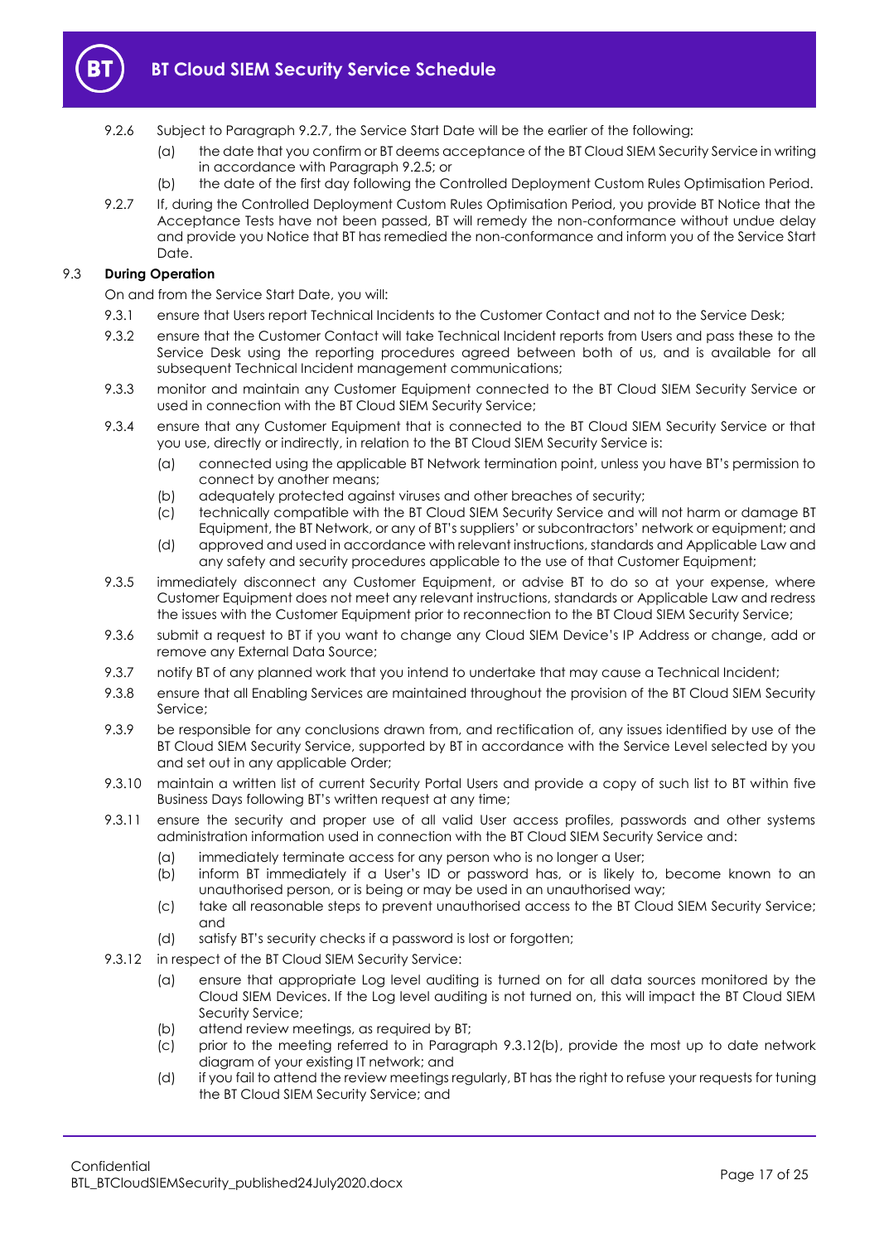

- <span id="page-16-3"></span>9.2.6 Subject to Paragraph [9.2.7,](#page-16-1) the Service Start Date will be the earlier of the following:
	- (a) the date that you confirm or BT deems acceptance of the BT Cloud SIEM Security Service in writing in accordance with Paragrap[h 9.2.5;](#page-15-2) or
	- (b) the date of the first day following the Controlled Deployment Custom Rules Optimisation Period.
- <span id="page-16-1"></span>9.2.7 If, during the Controlled Deployment Custom Rules Optimisation Period, you provide BT Notice that the Acceptance Tests have not been passed, BT will remedy the non-conformance without undue delay and provide you Notice that BT has remedied the non-conformance and inform you of the Service Start Date.

## 9.3 **During Operation**

On and from the Service Start Date, you will:

- 9.3.1 ensure that Users report Technical Incidents to the Customer Contact and not to the Service Desk;
- 9.3.2 ensure that the Customer Contact will take Technical Incident reports from Users and pass these to the Service Desk using the reporting procedures agreed between both of us, and is available for all subsequent Technical Incident management communications;
- 9.3.3 monitor and maintain any Customer Equipment connected to the BT Cloud SIEM Security Service or used in connection with the BT Cloud SIEM Security Service;
- <span id="page-16-0"></span>9.3.4 ensure that any Customer Equipment that is connected to the BT Cloud SIEM Security Service or that you use, directly or indirectly, in relation to the BT Cloud SIEM Security Service is:
	- (a) connected using the applicable BT Network termination point, unless you have BT's permission to connect by another means;
	- (b) adequately protected against viruses and other breaches of security;
	- (c) technically compatible with the BT Cloud SIEM Security Service and will not harm or damage BT Equipment, the BT Network, or any of BT's suppliers' or subcontractors' network or equipment; and
	- (d) approved and used in accordance with relevant instructions, standards and Applicable Law and any safety and security procedures applicable to the use of that Customer Equipment;
- 9.3.5 immediately disconnect any Customer Equipment, or advise BT to do so at your expense, where Customer Equipment does not meet any relevant instructions, standards or Applicable Law and redress the issues with the Customer Equipment prior to reconnection to the BT Cloud SIEM Security Service;
- 9.3.6 submit a request to BT if you want to change any Cloud SIEM Device's IP Address or change, add or remove any External Data Source;
- 9.3.7 notify BT of any planned work that you intend to undertake that may cause a Technical Incident;
- 9.3.8 ensure that all Enabling Services are maintained throughout the provision of the BT Cloud SIEM Security Service;
- 9.3.9 be responsible for any conclusions drawn from, and rectification of, any issues identified by use of the BT Cloud SIEM Security Service, supported by BT in accordance with the Service Level selected by you and set out in any applicable Order;
- 9.3.10 maintain a written list of current Security Portal Users and provide a copy of such list to BT within five Business Days following BT's written request at any time;
- 9.3.11 ensure the security and proper use of all valid User access profiles, passwords and other systems administration information used in connection with the BT Cloud SIEM Security Service and:
	- (a) immediately terminate access for any person who is no longer a User;
	- (b) inform BT immediately if a User's ID or password has, or is likely to, become known to an unauthorised person, or is being or may be used in an unauthorised way;
	- (c) take all reasonable steps to prevent unauthorised access to the BT Cloud SIEM Security Service; and
	- (d) satisfy BT's security checks if a password is lost or forgotten;
- <span id="page-16-2"></span>9.3.12 in respect of the BT Cloud SIEM Security Service:
	- (a) ensure that appropriate Log level auditing is turned on for all data sources monitored by the Cloud SIEM Devices. If the Log level auditing is not turned on, this will impact the BT Cloud SIEM Security Service;
	- (b) attend review meetings, as required by BT;
	- (c) prior to the meeting referred to in Paragraph [9.3.12\(b\),](#page-16-2) provide the most up to date network diagram of your existing IT network; and
	- (d) if you fail to attend the review meetings regularly, BT has the right to refuse your requests for tuning the BT Cloud SIEM Security Service; and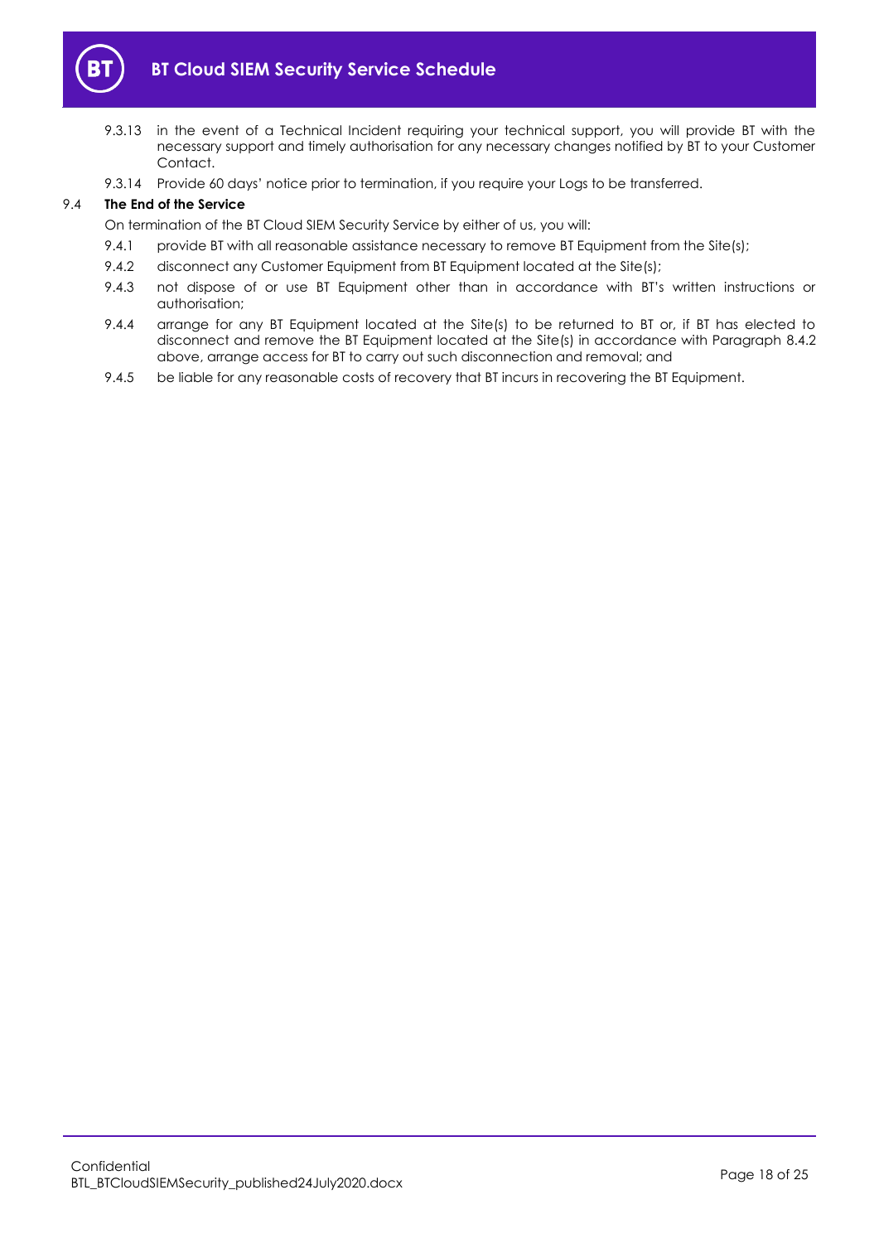

- 9.3.13 in the event of a Technical Incident requiring your technical support, you will provide BT with the necessary support and timely authorisation for any necessary changes notified by BT to your Customer Contact.
- 9.3.14 Provide 60 days' notice prior to termination, if you require your Logs to be transferred.

## 9.4 **The End of the Service**

On termination of the BT Cloud SIEM Security Service by either of us, you will:

- 9.4.1 provide BT with all reasonable assistance necessary to remove BT Equipment from the Site(s);
- 9.4.2 disconnect any Customer Equipment from BT Equipment located at the Site(s);
- 9.4.3 not dispose of or use BT Equipment other than in accordance with BT's written instructions or authorisation;
- 9.4.4 arrange for any BT Equipment located at the Site(s) to be returned to BT or, if BT has elected to disconnect and remove the BT Equipment located at the Site(s) in accordance with Paragraph [8.4.2](#page-13-5) above, arrange access for BT to carry out such disconnection and removal; and
- 9.4.5 be liable for any reasonable costs of recovery that BT incurs in recovering the BT Equipment.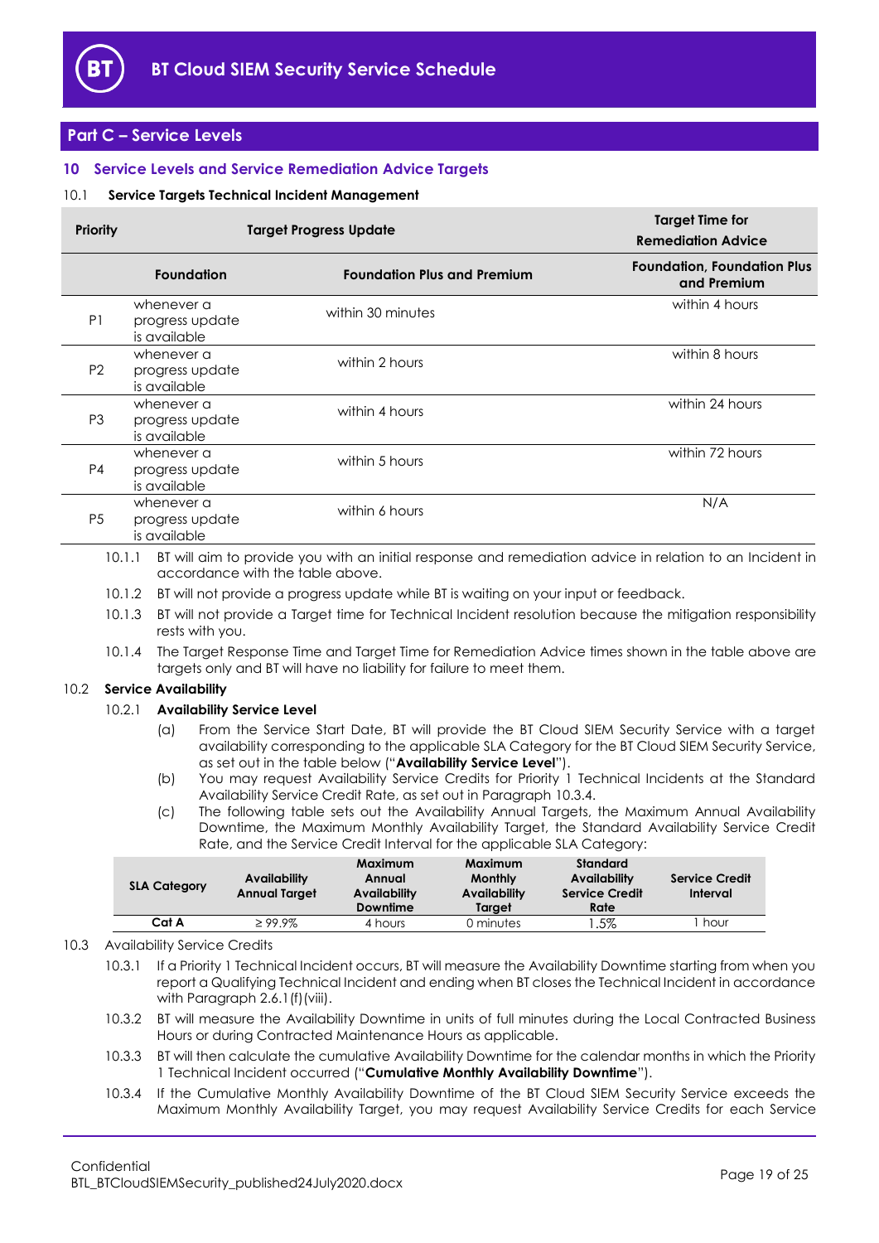

## <span id="page-18-0"></span>**Part C – Service Levels**

## <span id="page-18-1"></span>**10 Service Levels and Service Remediation Advice Targets**

## <span id="page-18-2"></span>10.1 **Service Targets Technical Incident Management**

| Priority       | <b>Target Progress Update</b>                 | <b>Target Time for</b><br><b>Remediation Advice</b> |                                                   |
|----------------|-----------------------------------------------|-----------------------------------------------------|---------------------------------------------------|
|                | <b>Foundation</b>                             | <b>Foundation Plus and Premium</b>                  | <b>Foundation, Foundation Plus</b><br>and Premium |
| P <sub>1</sub> | whenever a<br>progress update<br>is available | within 30 minutes                                   | within 4 hours                                    |
| P <sub>2</sub> | whenever a<br>progress update<br>is available | within 2 hours                                      | within 8 hours                                    |
| P <sub>3</sub> | whenever a<br>progress update<br>is available | within 4 hours                                      | within 24 hours                                   |
| P <sub>4</sub> | whenever a<br>progress update<br>is available | within 5 hours                                      | within 72 hours                                   |
| P <sub>5</sub> | whenever a<br>progress update<br>is available | within 6 hours                                      | N/A                                               |

10.1.1 BT will aim to provide you with an initial response and remediation advice in relation to an Incident in accordance with the table above.

- 10.1.2 BT will not provide a progress update while BT is waiting on your input or feedback.
- 10.1.3 BT will not provide a Target time for Technical Incident resolution because the mitigation responsibility rests with you.
- 10.1.4 The Target Response Time and Target Time for Remediation Advice times shown in the table above are targets only and BT will have no liability for failure to meet them.

## <span id="page-18-4"></span>10.2 **Service Availability**

## 10.2.1 **Availability Service Level**

- (a) From the Service Start Date, BT will provide the BT Cloud SIEM Security Service with a target availability corresponding to the applicable SLA Category for the BT Cloud SIEM Security Service, as set out in the table below ("**Availability Service Level**").
- (b) You may request Availability Service Credits for Priority 1 Technical Incidents at the Standard Availability Service Credit Rate, as set out in Paragraph [10.3.4.](#page-18-3)
- (c) The following table sets out the Availability Annual Targets, the Maximum Annual Availability Downtime, the Maximum Monthly Availability Target, the Standard Availability Service Credit Rate, and the Service Credit Interval for the applicable SLA Category:

| <b>SLA Category</b> | Availability<br><b>Annual Target</b> | Maximum<br>Annual<br><b>Availability</b><br>Downtime | Maximum<br><b>Monthly</b><br>Availability<br>Taraet | Standard<br>Availability<br><b>Service Credit</b><br>Rate | <b>Service Credit</b><br>Interval |
|---------------------|--------------------------------------|------------------------------------------------------|-----------------------------------------------------|-----------------------------------------------------------|-----------------------------------|
| Cat A               | $\geq 99.9\%$                        | 4 hours                                              | 0 minutes                                           | .5%                                                       | hour                              |

## <span id="page-18-5"></span>10.3 Availability Service Credits

10.3.1 If a Priority 1 Technical Incident occurs, BT will measure the Availability Downtime starting from when you report a Qualifying Technical Incident and ending when BT closes the Technical Incident in accordance with Paragraph [2.6.1\(f\)\(viii\).](#page-5-1)

- 10.3.2 BT will measure the Availability Downtime in units of full minutes during the Local Contracted Business Hours or during Contracted Maintenance Hours as applicable.
- <span id="page-18-6"></span>10.3.3 BT will then calculate the cumulative Availability Downtime for the calendar months in which the Priority 1 Technical Incident occurred ("**Cumulative Monthly Availability Downtime**").
- <span id="page-18-3"></span>10.3.4 If the Cumulative Monthly Availability Downtime of the BT Cloud SIEM Security Service exceeds the Maximum Monthly Availability Target, you may request Availability Service Credits for each Service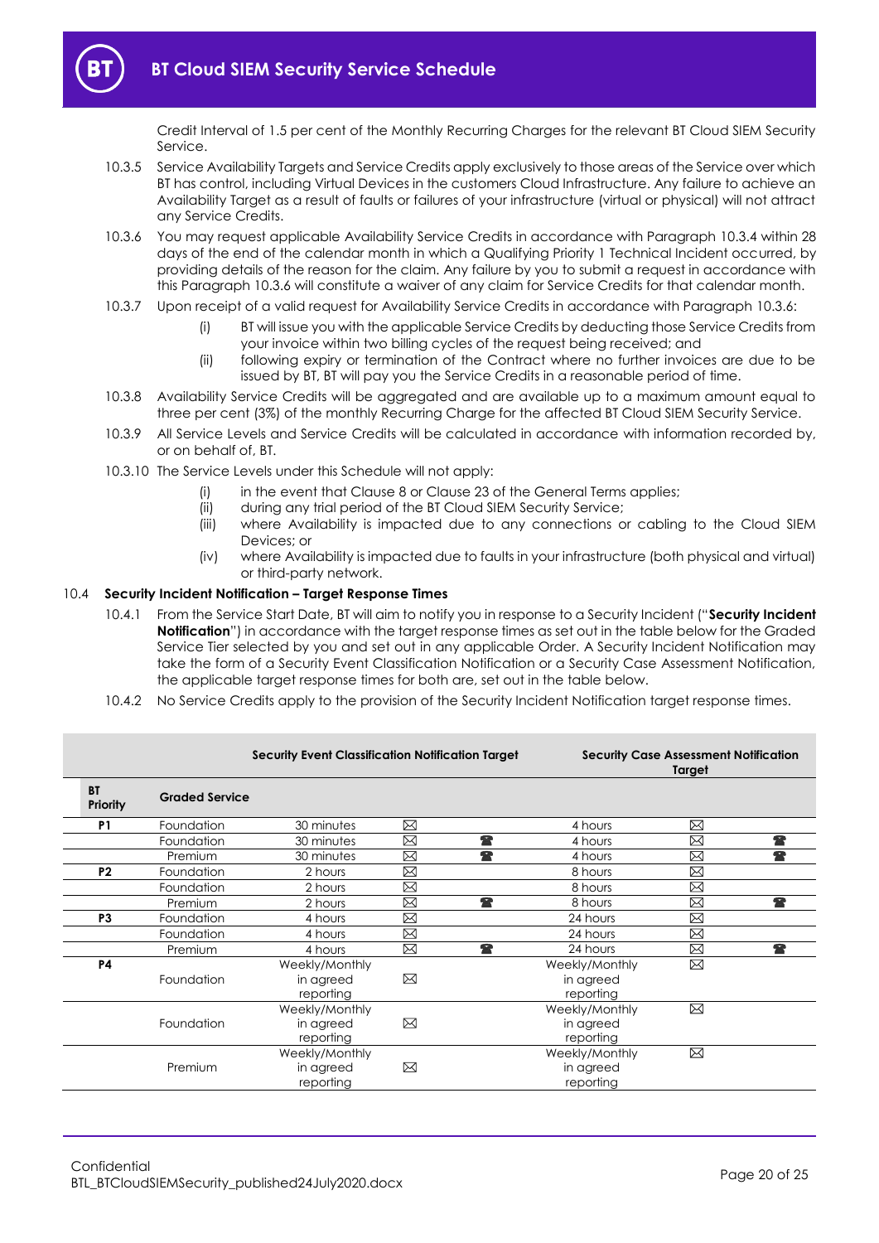Credit Interval of 1.5 per cent of the Monthly Recurring Charges for the relevant BT Cloud SIEM Security Service.

- 10.3.5 Service Availability Targets and Service Credits apply exclusively to those areas of the Service over which BT has control, including Virtual Devices in the customers Cloud Infrastructure. Any failure to achieve an Availability Target as a result of faults or failures of your infrastructure (virtual or physical) will not attract any Service Credits.
- <span id="page-19-1"></span>10.3.6 You may request applicable Availability Service Credits in accordance with Paragrap[h 10.3.4](#page-18-3) within 28 days of the end of the calendar month in which a Qualifying Priority 1 Technical Incident occurred, by providing details of the reason for the claim. Any failure by you to submit a request in accordance with this Paragraph 10.3.6 will constitute a waiver of any claim for Service Credits for that calendar month.
- 10.3.7 Upon receipt of a valid request for Availability Service Credits in accordance with Paragraph [10.3.6:](#page-19-1)
	- (i) BT will issue you with the applicable Service Credits by deducting those Service Credits from your invoice within two billing cycles of the request being received; and
	- (ii) following expiry or termination of the Contract where no further invoices are due to be issued by BT, BT will pay you the Service Credits in a reasonable period of time.
- 10.3.8 Availability Service Credits will be aggregated and are available up to a maximum amount equal to three per cent (3%) of the monthly Recurring Charge for the affected BT Cloud SIEM Security Service.
- 10.3.9 All Service Levels and Service Credits will be calculated in accordance with information recorded by, or on behalf of, BT.
- 10.3.10 The Service Levels under this Schedule will not apply:
	- (i) in the event that Clause 8 or Clause 23 of the General Terms applies;
	- (ii) during any trial period of the BT Cloud SIEM Security Service;
	- (iii) where Availability is impacted due to any connections or cabling to the Cloud SIEM Devices; or
	- (iv) where Availability is impacted due to faults in your infrastructure (both physical and virtual) or third-party network.

## <span id="page-19-2"></span><span id="page-19-0"></span>10.4 **Security Incident Notification – Target Response Times**

- 10.4.1 From the Service Start Date, BT will aim to notify you in response to a Security Incident ("**Security Incident Notification**") in accordance with the target response times as set out in the table below for the Graded Service Tier selected by you and set out in any applicable Order. A Security Incident Notification may take the form of a Security Event Classification Notification or a Security Case Assessment Notification, the applicable target response times for both are, set out in the table below.
- 10.4.2 No Service Credits apply to the provision of the Security Incident Notification target response times.

|                       |                       | <b>Security Event Classification Notification Target</b> | <b>Security Case Assessment Notification</b><br>Target |                |             |  |
|-----------------------|-----------------------|----------------------------------------------------------|--------------------------------------------------------|----------------|-------------|--|
| <b>BT</b><br>Priority | <b>Graded Service</b> |                                                          |                                                        |                |             |  |
| P <sub>1</sub>        | Foundation            | 30 minutes                                               | ⊠                                                      | 4 hours        | ⊠           |  |
|                       | Foundation            | 30 minutes                                               | 全<br>⊠                                                 | 4 hours        | ⊠           |  |
|                       | Premium               | 30 minutes                                               | 全<br>X                                                 | 4 hours        | ⊠           |  |
| P <sub>2</sub>        | Foundation            | 2 hours                                                  | ⊠                                                      | 8 hours        | ⊠           |  |
|                       | Foundation            | 2 hours                                                  | ⊠                                                      | 8 hours        | ⊠           |  |
|                       | Premium               | 2 hours                                                  | 全<br>⊠                                                 | 8 hours        | ⊠           |  |
| P3                    | Foundation            | 4 hours                                                  | Ø                                                      | 24 hours       | ⊠           |  |
|                       | Foundation            | 4 hours                                                  | ⊠                                                      | 24 hours       | ⊠           |  |
|                       | Premium               | 4 hours                                                  | ⊠<br>全                                                 | 24 hours       | ⊠           |  |
| <b>P4</b>             |                       | Weekly/Monthly                                           |                                                        | Weekly/Monthly | ⊠           |  |
|                       | Foundation            | in agreed                                                | ⊠                                                      | in agreed      |             |  |
|                       |                       | reporting                                                |                                                        | reporting      |             |  |
|                       |                       | Weekly/Monthly                                           |                                                        | Weekly/Monthly | ⊠           |  |
|                       | Foundation            | in agreed                                                | ⊠                                                      | in agreed      |             |  |
|                       |                       | reporting                                                |                                                        | reporting      |             |  |
|                       |                       | Weekly/Monthly                                           |                                                        | Weekly/Monthly | $\boxtimes$ |  |
|                       | Premium               | in agreed                                                | ⊠                                                      | in agreed      |             |  |
|                       |                       | reporting                                                |                                                        | reporting      |             |  |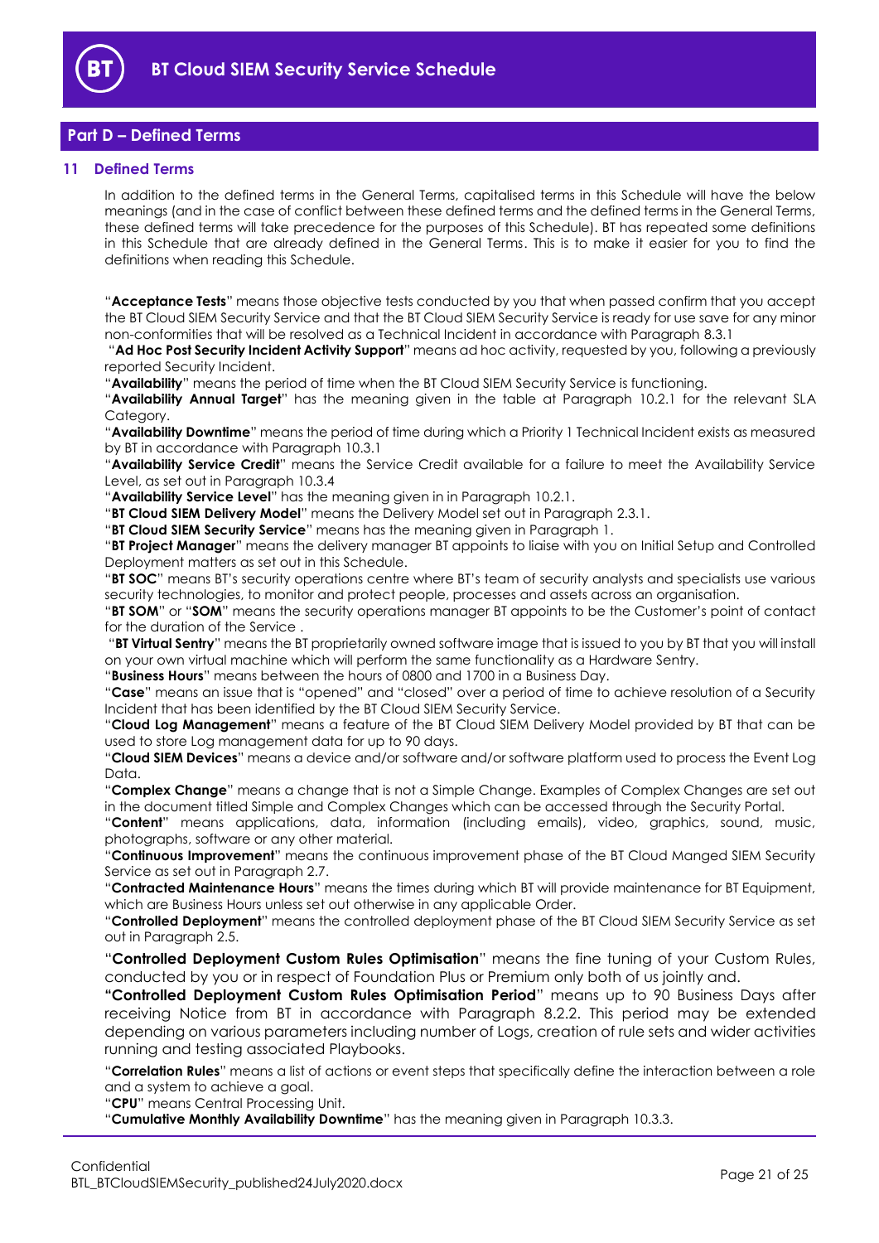

## <span id="page-20-0"></span>**Part D – Defined Terms**

## <span id="page-20-1"></span>**11 Defined Terms**

In addition to the defined terms in the General Terms, capitalised terms in this Schedule will have the below meanings (and in the case of conflict between these defined terms and the defined terms in the General Terms, these defined terms will take precedence for the purposes of this Schedule). BT has repeated some definitions in this Schedule that are already defined in the General Terms. This is to make it easier for you to find the definitions when reading this Schedule.

"**Acceptance Tests**" means those objective tests conducted by you that when passed confirm that you accept the BT Cloud SIEM Security Service and that the BT Cloud SIEM Security Service is ready for use save for any minor non-conformities that will be resolved as a Technical Incident in accordance with Paragraph [8.3.1](#page-13-6)

"**Ad Hoc Post Security Incident Activity Support**" means ad hoc activity, requested by you, following a previously reported Security Incident.

"**Availability**" means the period of time when the BT Cloud SIEM Security Service is functioning.

"**Availability Annual Target**" has the meaning given in the table at Paragraph [10.2.1](#page-18-4) for the relevant SLA Category.

"**Availability Downtime**" means the period of time during which a Priority 1 Technical Incident exists as measured by BT in accordance with Paragrap[h 10.3.1](#page-18-5)

"**Availability Service Credit**" means the Service Credit available for a failure to meet the Availability Service Level, as set out in Paragrap[h 10.3.4](#page-18-3)

"**Availability Service Level**" has the meaning given in in Paragraph [10.2.1.](#page-18-4)

"**BT Cloud SIEM Delivery Model**" means the Delivery Model set out in Paragraph [2.3.1.](#page-2-3)

"**BT Cloud SIEM Security Service**" means has the meaning given in Paragraph [1.](#page-1-3)

"**BT Project Manager**" means the delivery manager BT appoints to liaise with you on Initial Setup and Controlled Deployment matters as set out in this Schedule.

"**BT SOC**" means BT's security operations centre where BT's team of security analysts and specialists use various security technologies, to monitor and protect people, processes and assets across an organisation.

"**BT SOM**" or "**SOM**" means the security operations manager BT appoints to be the Customer's point of contact for the duration of the Service .

"**BT Virtual Sentry**" means the BT proprietarily owned software image that is issued to you by BT that you will install on your own virtual machine which will perform the same functionality as a Hardware Sentry.

"**Business Hours**" means between the hours of 0800 and 1700 in a Business Day.

"**Case**" means an issue that is "opened" and "closed" over a period of time to achieve resolution of a Security Incident that has been identified by the BT Cloud SIEM Security Service.

"**Cloud Log Management**" means a feature of the BT Cloud SIEM Delivery Model provided by BT that can be used to store Log management data for up to 90 days.

"**Cloud SIEM Devices**" means a device and/or software and/or software platform used to process the Event Log Data.

"**Complex Change**" means a change that is not a Simple Change. Examples of Complex Changes are set out in the document titled Simple and Complex Changes which can be accessed through the Security Portal.

"**Content**" means applications, data, information (including emails), video, graphics, sound, music, photographs, software or any other material.

"**Continuous Improvement**" means the continuous improvement phase of the BT Cloud Manged SIEM Security Service as set out in Paragraph [2.7.](#page-7-0)

"**Contracted Maintenance Hours**" means the times during which BT will provide maintenance for BT Equipment, which are Business Hours unless set out otherwise in any applicable Order.

"**Controlled Deployment**" means the controlled deployment phase of the BT Cloud SIEM Security Service as set out in Paragraph [2.5.](#page-3-0)

"**Controlled Deployment Custom Rules Optimisation**" means the fine tuning of your Custom Rules, conducted by you or in respect of Foundation Plus or Premium only both of us jointly and.

**"Controlled Deployment Custom Rules Optimisation Period**" means up to 90 Business Days after receiving Notice from BT in accordance with Paragraph [8.2.2.](#page-13-3) This period may be extended depending on various parameters including number of Logs, creation of rule sets and wider activities running and testing associated Playbooks.

"**Correlation Rules**" means a list of actions or event steps that specifically define the interaction between a role and a system to achieve a goal.

"**CPU**" means Central Processing Unit.

"**Cumulative Monthly Availability Downtime**" has the meaning given in Paragraph [10.3.3.](#page-18-6)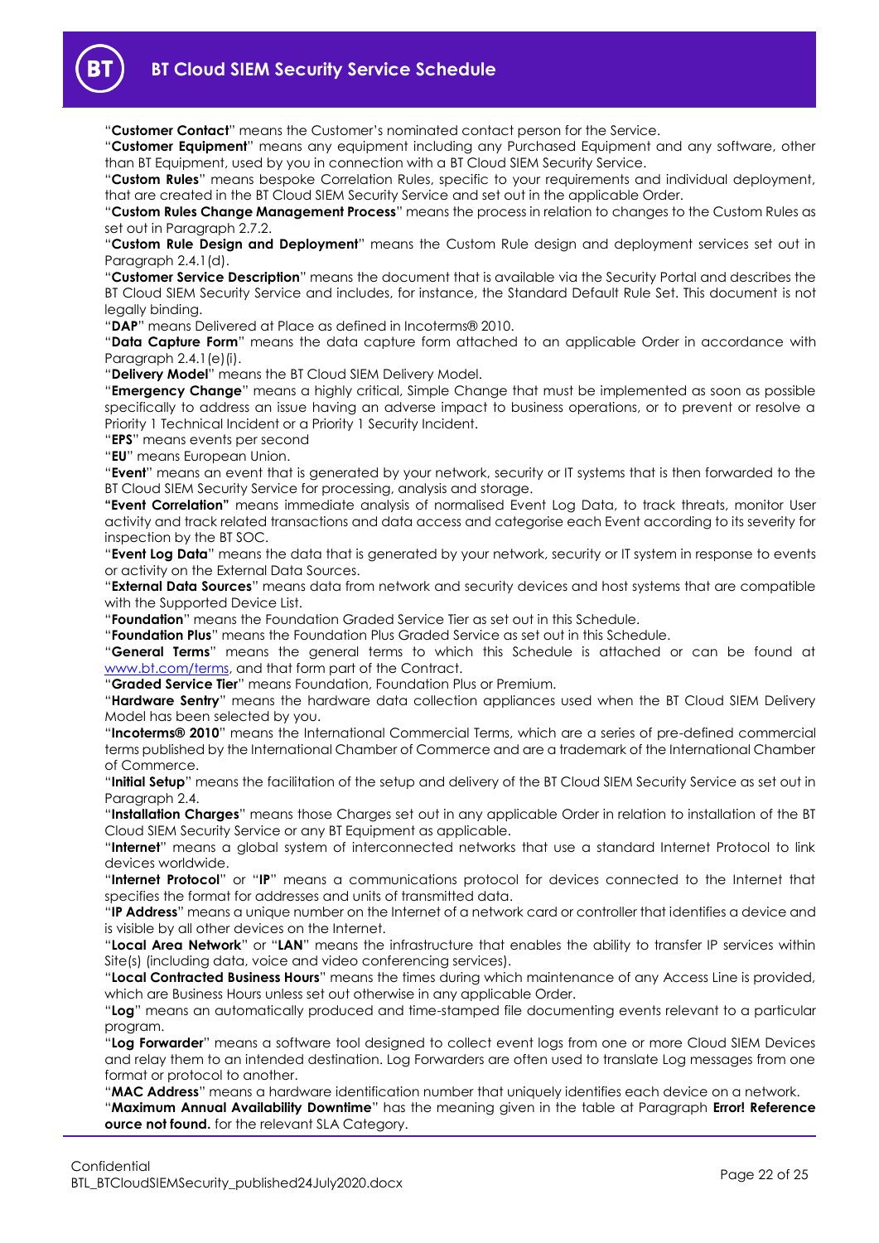

"**Customer Contact**" means the Customer's nominated contact person for the Service.

"**Customer Equipment**" means any equipment including any Purchased Equipment and any software, other than BT Equipment, used by you in connection with a BT Cloud SIEM Security Service.

"**Custom Rules**" means bespoke Correlation Rules, specific to your requirements and individual deployment, that are created in the BT Cloud SIEM Security Service and set out in the applicable Order.

"**Custom Rules Change Management Process**" means the process in relation to changes to the Custom Rules as set out in Paragraph [2.7.2.](#page-8-0)

"**Custom Rule Design and Deployment**" means the Custom Rule design and deployment services set out in Paragraph [2.4.1\(d\).](#page-2-1)

"**Customer Service Description**" means the document that is available via the Security Portal and describes the BT Cloud SIEM Security Service and includes, for instance, the Standard Default Rule Set. This document is not legally binding.

"**DAP**" means Delivered at Place as defined in Incoterms® 2010.

"**Data Capture Form**" means the data capture form attached to an applicable Order in accordance with Paragraph [2.4.1\(e\)\(i\).](#page-3-4)

"**Delivery Model**" means the BT Cloud SIEM Delivery Model.

"**Emergency Change**" means a highly critical, Simple Change that must be implemented as soon as possible specifically to address an issue having an adverse impact to business operations, or to prevent or resolve a Priority 1 Technical Incident or a Priority 1 Security Incident.

"**EPS**" means events per second

"**EU**" means European Union.

"**Event**" means an event that is generated by your network, security or IT systems that is then forwarded to the BT Cloud SIEM Security Service for processing, analysis and storage.

**"Event Correlation"** means immediate analysis of normalised Event Log Data, to track threats, monitor User activity and track related transactions and data access and categorise each Event according to its severity for inspection by the BT SOC.

"**Event Log Data**" means the data that is generated by your network, security or IT system in response to events or activity on the External Data Sources.

"**External Data Sources**" means data from network and security devices and host systems that are compatible with the Supported Device List.

"**Foundation**" means the Foundation Graded Service Tier as set out in this Schedule.

"**Foundation Plus**" means the Foundation Plus Graded Service as set out in this Schedule.

"**General Terms**" means the general terms to which this Schedule is attached or can be found at [www.bt.com/terms,](http://www.bt.com/terms) and that form part of the Contract.

"**Graded Service Tier**" means Foundation, Foundation Plus or Premium.

"**Hardware Sentry**" means the hardware data collection appliances used when the BT Cloud SIEM Delivery Model has been selected by you.

"**Incoterms® 2010**" means the International Commercial Terms, which are a series of pre-defined commercial terms published by the International Chamber of Commerce and are a trademark of the International Chamber of Commerce.

"**Initial Setup**" means the facilitation of the setup and delivery of the BT Cloud SIEM Security Service as set out in Paragraph [2.4.](#page-2-0)

"**Installation Charges**" means those Charges set out in any applicable Order in relation to installation of the BT Cloud SIEM Security Service or any BT Equipment as applicable.

"**Internet**" means a global system of interconnected networks that use a standard Internet Protocol to link devices worldwide.

"**Internet Protocol**" or "**IP**" means a communications protocol for devices connected to the Internet that specifies the format for addresses and units of transmitted data.

"**IP Address**" means a unique number on the Internet of a network card or controller that identifies a device and is visible by all other devices on the Internet.

"**Local Area Network**" or "**LAN**" means the infrastructure that enables the ability to transfer IP services within Site(s) (including data, voice and video conferencing services).

"**Local Contracted Business Hours**" means the times during which maintenance of any Access Line is provided, which are Business Hours unless set out otherwise in any applicable Order.

"**Log**" means an automatically produced and time-stamped file documenting events relevant to a particular program.

"**Log Forwarder**" means a software tool designed to collect event logs from one or more Cloud SIEM Devices and relay them to an intended destination. Log Forwarders are often used to translate Log messages from one format or protocol to another.

"**MAC Address**" means a hardware identification number that uniquely identifies each device on a network. "**Maximum Annual Availability Downtime**" has the meaning given in the table at Paragraph **Error! Reference ource not found.** for the relevant SLA Category.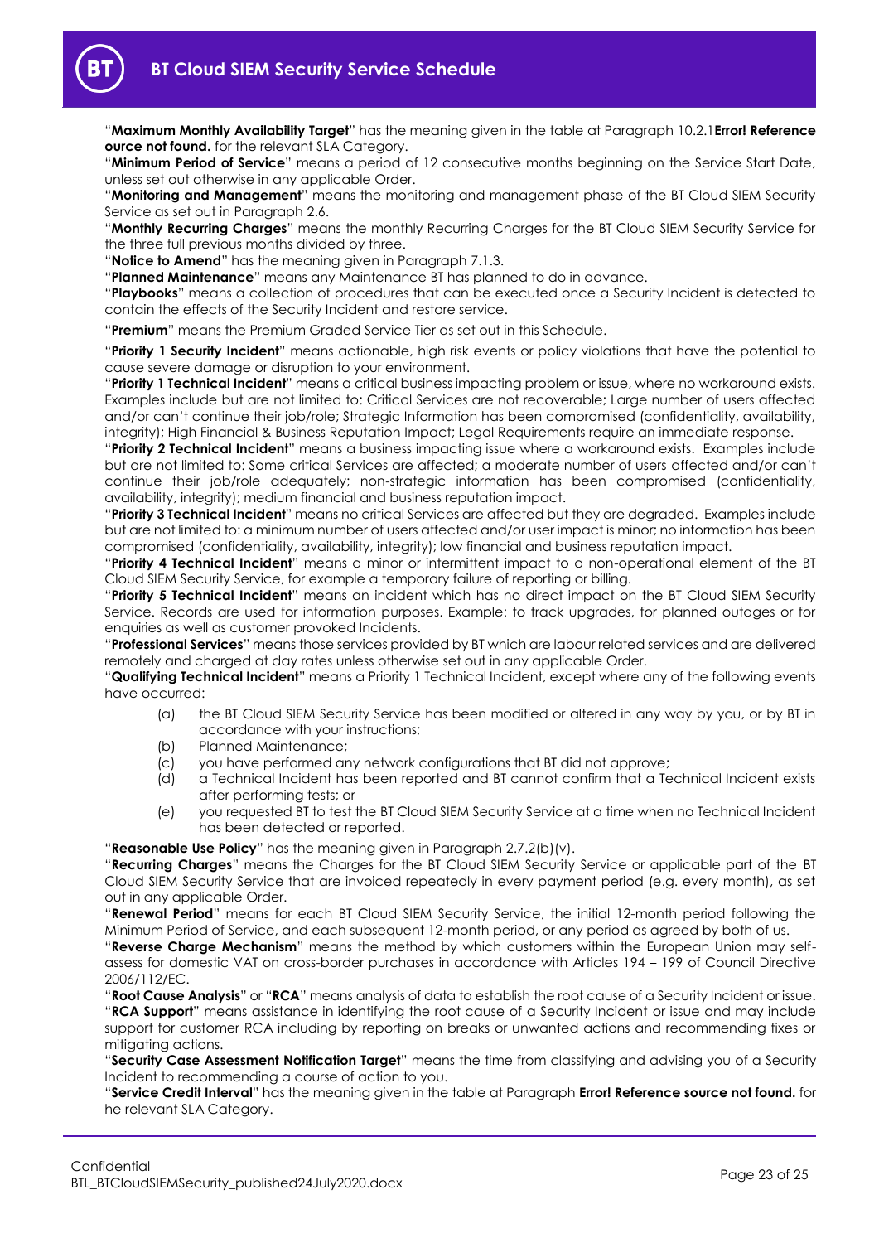"**Maximum Monthly Availability Target**" has the meaning given in the table at Paragraph [10.2.1](#page-18-4)**Error! Reference ource not found.** for the relevant SLA Category.

"**Minimum Period of Service**" means a period of 12 consecutive months beginning on the Service Start Date, unless set out otherwise in any applicable Order.

"**Monitoring and Management**" means the monitoring and management phase of the BT Cloud SIEM Security Service as set out in Paragraph [2.6.](#page-4-4)

"**Monthly Recurring Charges**" means the monthly Recurring Charges for the BT Cloud SIEM Security Service for the three full previous months divided by three.

"**Notice to Amend**" has the meaning given in Paragraph [7.1.3.](#page-10-1)

"**Planned Maintenance**" means any Maintenance BT has planned to do in advance.

"**Playbooks**" means a collection of procedures that can be executed once a Security Incident is detected to contain the effects of the Security Incident and restore service.

"**Premium**" means the Premium Graded Service Tier as set out in this Schedule.

"**Priority 1 Security Incident**" means actionable, high risk events or policy violations that have the potential to cause severe damage or disruption to your environment.

"**Priority 1 Technical Incident**" means a critical business impacting problem or issue, where no workaround exists. Examples include but are not limited to: Critical Services are not recoverable; Large number of users affected and/or can't continue their job/role; Strategic Information has been compromised (confidentiality, availability, integrity); High Financial & Business Reputation Impact; Legal Requirements require an immediate response.

"**Priority 2 Technical Incident**" means a business impacting issue where a workaround exists. Examples include but are not limited to: Some critical Services are affected; a moderate number of users affected and/or can't continue their job/role adequately; non-strategic information has been compromised (confidentiality, availability, integrity); medium financial and business reputation impact.

"**Priority 3 Technical Incident**" means no critical Services are affected but they are degraded. Examples include but are not limited to: a minimum number of users affected and/or user impact is minor; no information has been compromised (confidentiality, availability, integrity); low financial and business reputation impact.

"**Priority 4 Technical Incident**" means a minor or intermittent impact to a non-operational element of the BT Cloud SIEM Security Service, for example a temporary failure of reporting or billing.

"**Priority 5 Technical Incident**" means an incident which has no direct impact on the BT Cloud SIEM Security Service. Records are used for information purposes. Example: to track upgrades, for planned outages or for enquiries as well as customer provoked Incidents.

"**Professional Services**" means those services provided by BT which are labour related services and are delivered remotely and charged at day rates unless otherwise set out in any applicable Order.

"**Qualifying Technical Incident**" means a Priority 1 Technical Incident, except where any of the following events have occurred:

- (a) the BT Cloud SIEM Security Service has been modified or altered in any way by you, or by BT in accordance with your instructions;
- (b) Planned Maintenance;
- (c) you have performed any network configurations that BT did not approve;
- (d) a Technical Incident has been reported and BT cannot confirm that a Technical Incident exists after performing tests; or
- (e) you requested BT to test the BT Cloud SIEM Security Service at a time when no Technical Incident has been detected or reported.

"**Reasonable Use Policy**" has the meaning given in Paragraph [2.7.2\(b\)\(v\).](#page-8-1)

"**Recurring Charges**" means the Charges for the BT Cloud SIEM Security Service or applicable part of the BT Cloud SIEM Security Service that are invoiced repeatedly in every payment period (e.g. every month), as set out in any applicable Order.

"**Renewal Period**" means for each BT Cloud SIEM Security Service, the initial 12-month period following the Minimum Period of Service, and each subsequent 12-month period, or any period as agreed by both of us.

"**Reverse Charge Mechanism**" means the method by which customers within the European Union may selfassess for domestic VAT on cross-border purchases in accordance with Articles 194 – 199 of Council Directive 2006/112/EC.

"**Root Cause Analysis**" or "**RCA**" means analysis of data to establish the root cause of a Security Incident or issue. "**RCA Support**" means assistance in identifying the root cause of a Security Incident or issue and may include support for customer RCA including by reporting on breaks or unwanted actions and recommending fixes or mitigating actions.

"**Security Case Assessment Notification Target**" means the time from classifying and advising you of a Security Incident to recommending a course of action to you.

"**Service Credit Interval**" has the meaning given in the table at Paragraph **Error! Reference source not found.** for he relevant SLA Category.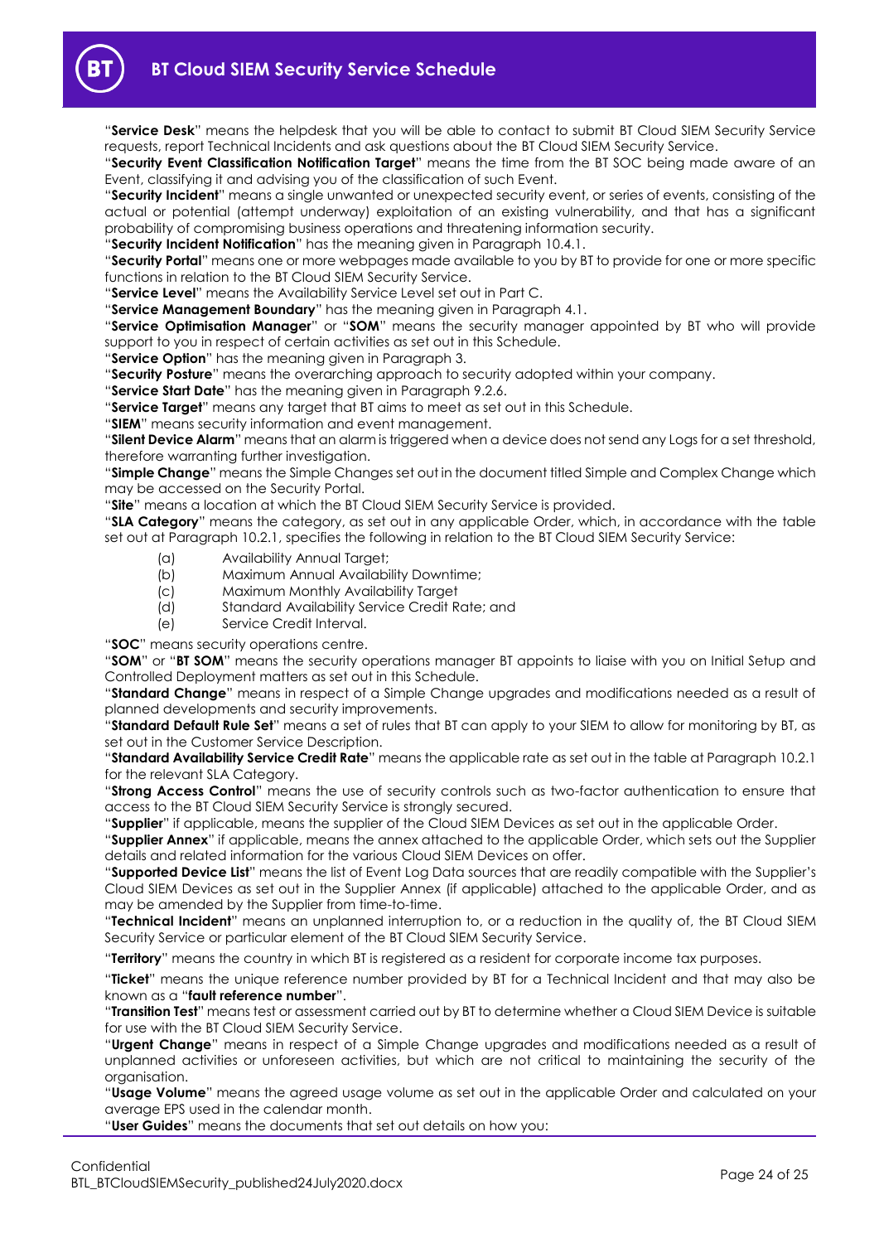

"**Service Desk**" means the helpdesk that you will be able to contact to submit BT Cloud SIEM Security Service requests, report Technical Incidents and ask questions about the BT Cloud SIEM Security Service.

"**Security Event Classification Notification Target**" means the time from the BT SOC being made aware of an Event, classifying it and advising you of the classification of such Event.

"**Security Incident**" means a single unwanted or unexpected security event, or series of events, consisting of the actual or potential (attempt underway) exploitation of an existing vulnerability, and that has a significant probability of compromising business operations and threatening information security.

"**Security Incident Notification**" has the meaning given in Paragraph [10.4.1.](#page-19-2)

"**Security Portal**" means one or more webpages made available to you by BT to provide for one or more specific functions in relation to the BT Cloud SIEM Security Service.

"**Service Level**" means the Availability Service Level set out in Part C.

"**Service Management Boundary**" has the meaning given in Paragraph [4.1.](#page-9-4)

"**Service Optimisation Manager**" or "**SOM**" means the security manager appointed by BT who will provide support to you in respect of certain activities as set out in this Schedule.

"**Service Option**" has the meaning given in Paragraph [3.](#page-9-0)

"**Security Posture**" means the overarching approach to security adopted within your company.

"**Service Start Date**" has the meaning given in Paragraph [9.2.6.](#page-16-3)

"**Service Target**" means any target that BT aims to meet as set out in this Schedule.

"**SIEM**" means security information and event management.

"**Silent Device Alarm**" means that an alarm is triggered when a device does not send any Logs for a set threshold, therefore warranting further investigation.

"**Simple Change**" means the Simple Changes set out in the document titled Simple and Complex Change which may be accessed on the Security Portal.

"**Site**" means a location at which the BT Cloud SIEM Security Service is provided.

"**SLA Category**" means the category, as set out in any applicable Order, which, in accordance with the table set out at Paragraph [10.2.1,](#page-18-4) specifies the following in relation to the BT Cloud SIEM Security Service:

- (a) Availability Annual Target;
- (b) Maximum Annual Availability Downtime;
- (c) Maximum Monthly Availability Target
- (d) Standard Availability Service Credit Rate; and
- (e) Service Credit Interval.

"**SOC**" means security operations centre.

"**SOM**" or "**BT SOM**" means the security operations manager BT appoints to liaise with you on Initial Setup and Controlled Deployment matters as set out in this Schedule.

"**Standard Change**" means in respect of a Simple Change upgrades and modifications needed as a result of planned developments and security improvements.

"**Standard Default Rule Set**" means a set of rules that BT can apply to your SIEM to allow for monitoring by BT, as set out in the Customer Service Description.

"**Standard Availability Service Credit Rate**" means the applicable rate as set out in the table at Paragrap[h 10.2.1](#page-18-4) for the relevant SLA Category.

"**Strong Access Control**" means the use of security controls such as two-factor authentication to ensure that access to the BT Cloud SIEM Security Service is strongly secured.

"**Supplier**" if applicable, means the supplier of the Cloud SIEM Devices as set out in the applicable Order.

"**Supplier Annex**" if applicable, means the annex attached to the applicable Order, which sets out the Supplier details and related information for the various Cloud SIEM Devices on offer.

"**Supported Device List**" means the list of Event Log Data sources that are readily compatible with the Supplier's Cloud SIEM Devices as set out in the Supplier Annex (if applicable) attached to the applicable Order, and as may be amended by the Supplier from time-to-time.

"**Technical Incident**" means an unplanned interruption to, or a reduction in the quality of, the BT Cloud SIEM Security Service or particular element of the BT Cloud SIEM Security Service.

"**Territory**" means the country in which BT is registered as a resident for corporate income tax purposes.

"**Ticket**" means the unique reference number provided by BT for a Technical Incident and that may also be known as a "**fault reference number**".

"**Transition Test**" means test or assessment carried out by BT to determine whether a Cloud SIEM Device is suitable for use with the BT Cloud SIEM Security Service.

"**Urgent Change**" means in respect of a Simple Change upgrades and modifications needed as a result of unplanned activities or unforeseen activities, but which are not critical to maintaining the security of the organisation.

"**Usage Volume**" means the agreed usage volume as set out in the applicable Order and calculated on your average EPS used in the calendar month.

"**User Guides**" means the documents that set out details on how you: